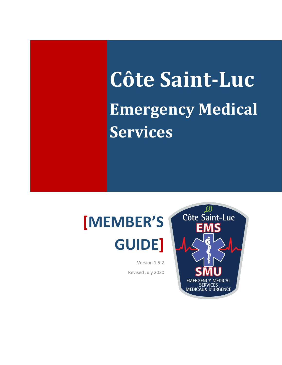# **Côte Saint-Luc Emergency Medical Services**

## **[MEMBER'S GUIDE]**

Version 1.5.2 Revised July 2020

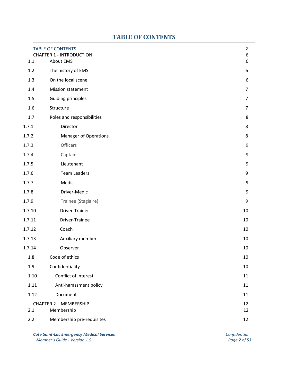## **TABLE OF CONTENTS**

<span id="page-1-0"></span>

|        | <b>TABLE OF CONTENTS</b><br><b>CHAPTER 1 - INTRODUCTION</b> | $\overline{2}$<br>6 |
|--------|-------------------------------------------------------------|---------------------|
| 1.1    | About EMS                                                   | 6                   |
| 1.2    | The history of EMS                                          | 6                   |
| 1.3    | On the local scene                                          | 6                   |
| 1.4    | <b>Mission statement</b>                                    | $\overline{7}$      |
| 1.5    | <b>Guiding principles</b>                                   | $\overline{7}$      |
| 1.6    | Structure                                                   | $\overline{7}$      |
| 1.7    | Roles and responsibilities                                  | 8                   |
| 1.7.1  | Director                                                    | 8                   |
| 1.7.2  | <b>Manager of Operations</b>                                | 8                   |
| 1.7.3  | Officers                                                    | $\mathsf 9$         |
| 1.7.4  | Captain                                                     | $\mathsf 9$         |
| 1.7.5  | Lieutenant                                                  | 9                   |
| 1.7.6  | <b>Team Leaders</b>                                         | 9                   |
| 1.7.7  | Medic                                                       | 9                   |
| 1.7.8  | Driver-Medic                                                | 9                   |
| 1.7.9  | Trainee (Stagiaire)                                         | $\mathsf 9$         |
| 1.7.10 | Driver-Trainer                                              | 10                  |
| 1.7.11 | Driver-Trainee                                              | 10                  |
| 1.7.12 | Coach                                                       | 10                  |
| 1.7.13 | Auxiliary member                                            | 10                  |
| 1.7.14 | Observer                                                    | 10                  |
| 1.8    | Code of ethics                                              | 10                  |
| 1.9    | Confidentiality                                             | 10                  |
| 1.10   | Conflict of interest                                        | 11                  |
| 1.11   | Anti-harassment policy                                      | 11                  |
| 1.12   | Document                                                    | 11                  |
|        | <b>CHAPTER 2 - MEMBERSHIP</b>                               | 12                  |
| 2.1    | Membership                                                  | 12                  |
| 2.2    | Membership pre-requisites                                   | 12                  |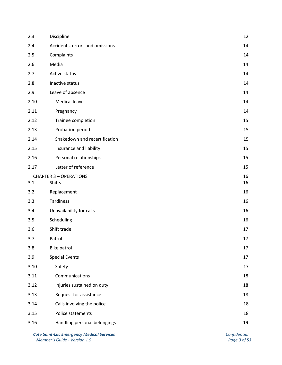| 2.3  | 12<br>Discipline                |        |  |
|------|---------------------------------|--------|--|
| 2.4  | Accidents, errors and omissions |        |  |
| 2.5  | Complaints                      |        |  |
| 2.6  | Media                           | 14     |  |
| 2.7  | Active status                   | 14     |  |
| 2.8  | Inactive status                 | 14     |  |
| 2.9  | Leave of absence                | 14     |  |
| 2.10 | <b>Medical leave</b>            | 14     |  |
| 2.11 | Pregnancy                       | 14     |  |
| 2.12 | Trainee completion              | 15     |  |
| 2.13 | Probation period                | 15     |  |
| 2.14 | Shakedown and recertification   | 15     |  |
| 2.15 | Insurance and liability         | 15     |  |
| 2.16 | Personal relationships          | 15     |  |
| 2.17 | Letter of reference             | 15     |  |
|      | <b>CHAPTER 3 - OPERATIONS</b>   | 16     |  |
| 3.1  | Shifts                          | 16     |  |
| 3.2  | Replacement                     | 16     |  |
| 3.3  | Tardiness                       | 16     |  |
| 3.4  | Unavailability for calls        | 16     |  |
| 3.5  | Scheduling                      | 16     |  |
| 3.6  | Shift trade                     | 17     |  |
| 3.7  | Patrol                          | $17\,$ |  |
| 3.8  | Bike patrol                     | 17     |  |
| 3.9  | <b>Special Events</b>           | 17     |  |
| 3.10 | Safety                          | 17     |  |
| 3.11 | Communications                  | 18     |  |
| 3.12 | Injuries sustained on duty      | 18     |  |
| 3.13 | Request for assistance          | 18     |  |
| 3.14 | Calls involving the police      | 18     |  |
| 3.15 | Police statements               | 18     |  |
| 3.16 | Handling personal belongings    | 19     |  |
|      |                                 |        |  |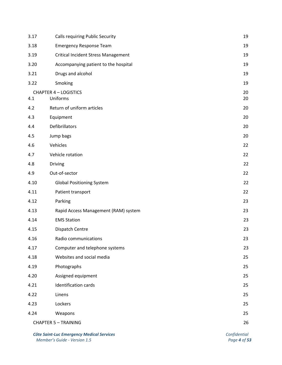| <b>Calls requiring Public Security</b>       | 19       |  |
|----------------------------------------------|----------|--|
| <b>Emergency Response Team</b>               |          |  |
| <b>Critical Incident Stress Management</b>   |          |  |
| 3.20<br>Accompanying patient to the hospital |          |  |
| 3.21<br>Drugs and alcohol                    |          |  |
| Smoking                                      | 19       |  |
| <b>CHAPTER 4 - LOGISTICS</b><br>Uniforms     | 20<br>20 |  |
| Return of uniform articles<br>4.2            |          |  |
| Equipment                                    | 20       |  |
| Defibrillators                               | 20       |  |
| Jump bags                                    | 20       |  |
| Vehicles                                     | 22       |  |
| Vehicle rotation                             | 22       |  |
| Driving                                      | 22       |  |
| Out-of-sector                                | 22       |  |
| <b>Global Positioning System</b>             | 22       |  |
| Patient transport                            | 22       |  |
| Parking                                      | 23       |  |
| Rapid Access Management (RAM) system         | 23       |  |
| <b>EMS Station</b>                           | 23       |  |
| Dispatch Centre                              | 23       |  |
| Radio communications                         | 23       |  |
| Computer and telephone systems               | 23       |  |
| Websites and social media                    | 25       |  |
| Photographs                                  | 25       |  |
| Assigned equipment                           | 25       |  |
| Identification cards                         | 25       |  |
| Linens                                       | 25       |  |
| Lockers                                      | 25       |  |
| Weapons                                      | 25       |  |
| 26<br><b>CHAPTER 5 - TRAINING</b>            |          |  |
|                                              |          |  |

**Côte Saint-Luc Emergency Medical Services**<br>
Member's Guide - Version 1.5<br>
Page 4 of 53 *Member's* Guide - Version 1.5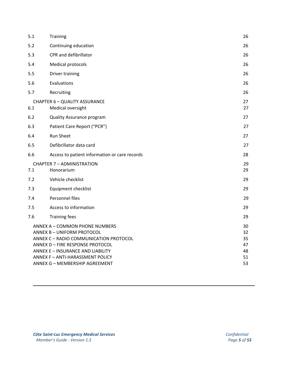| 5.1 | <b>Training</b>                                           | 26       |
|-----|-----------------------------------------------------------|----------|
| 5.2 | Continuing education                                      |          |
| 5.3 | CPR and defibrillator                                     | 26       |
| 5.4 | Medical protocols                                         | 26       |
| 5.5 | Driver training                                           | 26       |
| 5.6 | Evaluations                                               |          |
| 5.7 | Recruiting                                                | 26       |
| 6.1 | <b>CHAPTER 6 - QUALITY ASSURANCE</b><br>Medical oversight | 27<br>27 |
| 6.2 | <b>Quality Assurance program</b>                          | 27       |
| 6.3 | Patient Care Report ("PCR")                               | 27       |
| 6.4 | Run Sheet                                                 | 27       |
| 6.5 | Defibrillator data card                                   | 27       |
| 6.6 | Access to patient information or care records             | 28       |
| 7.1 | <b>CHAPTER 7 - ADMINISTRATION</b><br>Honorarium           | 29<br>29 |
| 7.2 | Vehicle checklist                                         | 29       |
| 7.3 | Equipment checklist                                       | 29       |
| 7.4 |                                                           |          |
|     | Personnel files                                           | 29       |
| 7.5 | Access to information                                     | 29       |
| 7.6 | <b>Training fees</b>                                      | 29       |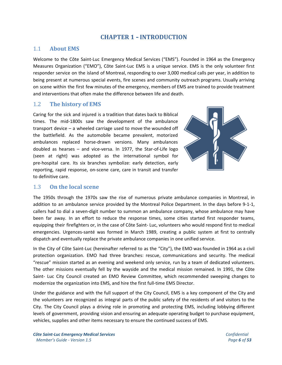## **CHAPTER 1** - **INTRODUCTION**

#### <span id="page-5-1"></span><span id="page-5-0"></span>1.1 **About EMS**

Welcome to the Côte Saint-Luc Emergency Medical Services ("EMS"). Founded in 1964 as the Emergency Measures Organization ("EMO"), Côte Saint-Luc EMS is a unique service. EMS is the only volunteer first responder service on the island of Montreal, responding to over 3,000 medical calls per year, in addition to being present at numerous special events, fire scenes and community outreach programs. Usually arriving on scene within the first few minutes of the emergency, members of EMS are trained to provide treatment and interventions that often make the difference between life and death.

#### <span id="page-5-2"></span>1.2 **The history of EMS**

Caring for the sick and injured is a tradition that dates back to Biblical times. The mid-1800s saw the development of the ambulance transport device – a wheeled carriage used to move the wounded off the battlefield. As the automobile became prevalent, motorized ambulances replaced horse-drawn versions. Many ambulances doubled as hearses – and vice-versa. In 1977, the Star-of-Life logo (seen at right) was adopted as the international symbol for pre-hospital care. Its six branches symbolize: early detection, early reporting, rapid response, on-scene care, care in transit and transfer to definitive care.



#### <span id="page-5-3"></span>1.3 **On the local scene**

The 1950s through the 1970s saw the rise of numerous private ambulance companies in Montreal, in addition to an ambulance service provided by the Montreal Police Department. In the days before 9-1-1, callers had to dial a seven-digit number to summon an ambulance company, whose ambulance may have been far away. In an effort to reduce the response times, some cities started first responder teams, equipping their firefighters or, in the case of Côte Saint- Luc, volunteers who would respond first to medical emergencies. Urgences-santé was formed in March 1989, creating a public system at first to centrally dispatch and eventually replace the private ambulance companies in one unified service.

In the City of Côte Saint-Luc (hereinafter referred to as the "City"), the EMO was founded in 1964 as a civil protection organization. EMO had three branches: rescue, communications and security. The medical "rescue" mission started as an evening and weekend only service, run by a team of dedicated volunteers. The other missions eventually fell by the wayside and the medical mission remained. In 1991, the Côte Saint- Luc City Council created an EMO Review Committee, which recommended sweeping changes to modernize the organization into EMS, and hire the first full-time EMS Director.

Under the guidance and with the full support of the City Council, EMS is a key component of the City and the volunteers are recognized as integral parts of the public safety of the residents of and visitors to the City. The City Council plays a driving role in promoting and protecting EMS, including lobbying different levels of government, providing vision and ensuring an adequate operating budget to purchase equipment, vehicles, supplies and other items necessary to ensure the continued success of EMS.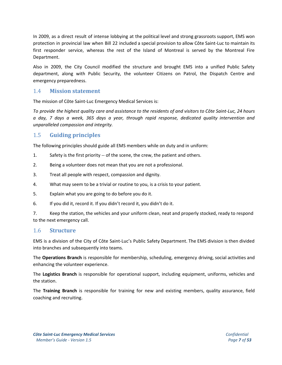In 2009, as a direct result of intense lobbying at the political level and strong grassroots support, EMS won protection in provincial law when Bill 22 included a special provision to allow Côte Saint-Luc to maintain its first responder service, whereas the rest of the Island of Montreal is served by the Montreal Fire Department.

Also in 2009, the City Council modified the structure and brought EMS into a unified Public Safety department, along with Public Security, the volunteer Citizens on Patrol, the Dispatch Centre and emergency preparedness.

#### <span id="page-6-0"></span>1.4 **Mission statement**

The mission of Côte Saint-Luc Emergency Medical Services is:

To provide the highest quality care and assistance to the residents of and visitors to Côte Saint-Luc, 24 hours *a day, 7 days a week, 365 days a year, through rapid response, dedicated quality intervention and unparalleled compassion and integrity.*

## <span id="page-6-1"></span>1.5 **Guiding principles**

The following principles should guide all EMS members while on duty and in uniform:

- 1. Safety is the first priority -- of the scene, the crew, the patient and others.
- 2. Being a volunteer does not mean that you are not a professional.
- 3. Treat all people with respect, compassion and dignity.
- 4. What may seem to be a trivial or routine to you, is a crisis to your patient.
- 5. Explain what you are going to do before you do it.
- 6. If you did it, record it. If you didn't record it, you didn't do it.

7. Keep the station, the vehicles and your uniform clean, neat and properly stocked, ready to respond to the next emergency call.

#### <span id="page-6-2"></span>1.6 **Structure**

EMS is a division of the City of Côte Saint-Luc's Public Safety Department. The EMS division is then divided into branches and subsequently into teams.

The **Operations Branch** is responsible for membership, scheduling, emergency driving, social activities and enhancing the volunteer experience.

The **Logistics Branch** is responsible for operational support, including equipment, uniforms, vehicles and the station.

The **Training Branch** is responsible for training for new and existing members, quality assurance, field coaching and recruiting.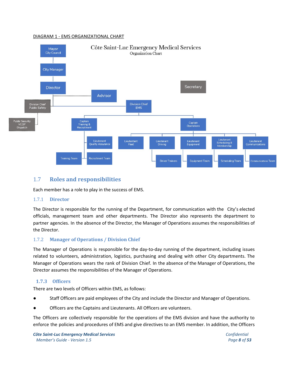#### <span id="page-7-0"></span>DIAGRAM 1 - EMS ORGANIZATIONAL CHART



## 1.7 **Roles and responsibilities**

Each member has a role to play in the success of EMS.

#### <span id="page-7-1"></span>1.7.1 **Director**

The Director is responsible for the running of the Department, for communication with the City's elected officials, management team and other departments. The Director also represents the department to partner agencies. In the absence of the Director, the Manager of Operations assumes the responsibilities of the Director.

#### <span id="page-7-2"></span>1.7.2 **Manager of Operations / Division Chief**

The Manager of Operations is responsible for the day-to-day running of the department, including issues related to volunteers, administration, logistics, purchasing and dealing with other City departments. The Manager of Operations wears the rank of Division Chief. In the absence of the Manager of Operations, the Director assumes the responsibilities of the Manager of Operations.

#### <span id="page-7-3"></span>**1.7.3 Officers**

There are two levels of Officers within EMS, as follows:

- Staff Officers are paid employees of the City and include the Director and Manager of Operations.
- Officers are the Captains and Lieutenants. All Officers are volunteers.

The Officers are collectively responsible for the operations of the EMS division and have the authority to enforce the policies and procedures of EMS and give directives to an EMS member. In addition, the Officers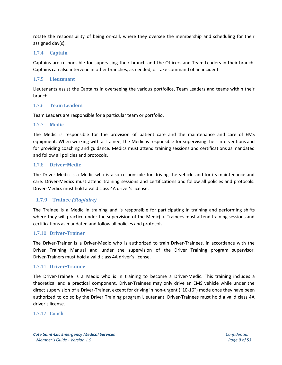rotate the responsibility of being on-call, where they oversee the membership and scheduling for their assigned day(s).

#### <span id="page-8-0"></span>1.7.4 **Captain**

Captains are responsible for supervising their branch and the Officers and Team Leaders in their branch. Captains can also intervene in other branches, as needed, or take command of an incident.

#### <span id="page-8-1"></span>1.7.5 **Lieutenant**

Lieutenants assist the Captains in overseeing the various portfolios, Team Leaders and teams within their branch.

#### <span id="page-8-2"></span>1.7.6 **Team Leaders**

Team Leaders are responsible for a particular team or portfolio.

#### <span id="page-8-3"></span>1.7.7 **Medic**

The Medic is responsible for the provision of patient care and the maintenance and care of EMS equipment. When working with a Trainee, the Medic is responsible for supervising their interventions and for providing coaching and guidance. Medics must attend training sessions and certifications as mandated and follow all policies and protocols.

#### <span id="page-8-4"></span>1.7.8 **Driver**-**Medic**

The Driver-Medic is a Medic who is also responsible for driving the vehicle and for its maintenance and care. Driver-Medics must attend training sessions and certifications and follow all policies and protocols. Driver-Medics must hold a valid class 4A driver's license.

#### <span id="page-8-5"></span>**1.7.9 Trainee** *(Stagiaire)*

The Trainee is a Medic in training and is responsible for participating in training and performing shifts where they will practice under the supervision of the Medic(s). Trainees must attend training sessions and certifications as mandated and follow all policies and protocols.

#### <span id="page-8-6"></span>1.7.10 **Driver**-**Trainer**

The Driver-Trainer is a Driver-Medic who is authorized to train Driver-Trainees, in accordance with the Driver Training Manual and under the supervision of the Driver Training program supervisor. Driver-Trainers must hold a valid class 4A driver's license.

#### <span id="page-8-7"></span>1.7.11 **Driver**-**Trainee**

The Driver-Trainee is a Medic who is in training to become a Driver-Medic. This training includes a theoretical and a practical component. Driver-Trainees may only drive an EMS vehicle while under the direct supervision of a Driver-Trainer, except for driving in non-urgent ("10-16") mode once they have been authorized to do so by the Driver Training program Lieutenant. Driver-Trainees must hold a valid class 4A driver's license.

#### <span id="page-8-8"></span>1.7.12 **Coach**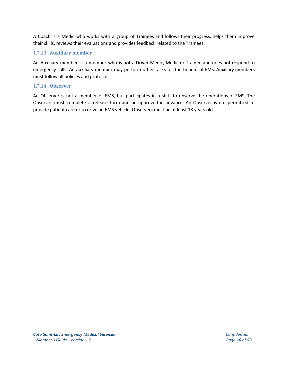A Coach is a Medic who works with a group of Trainees and follows their progress, helps them improve their skills, reviews their evaluations and provides feedback related to the Trainees.

#### <span id="page-9-0"></span>1.7.13 **Auxiliary member**

An Auxiliary member is a member who is not a Driver-Medic, Medic or Trainee and does not respond to emergency calls. An auxiliary member may perform other tasks for the benefit of EMS. Auxiliary members must follow all policies and protocols.

#### <span id="page-9-1"></span>1.7.14 **Observer**

An Observer is not a member of EMS, but participates in a shift to observe the operations of EMS. The Observer must complete a release form and be approved in advance. An Observer is not permitted to provide patient care or to drive an EMS vehicle. Observers must be at least 18 years old.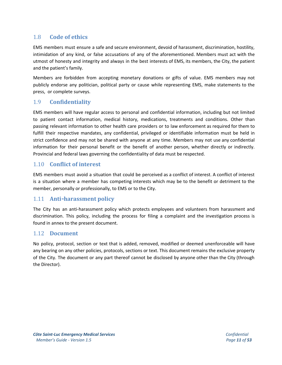## <span id="page-10-0"></span>1.8 **Code of ethics**

EMS members must ensure a safe and secure environment, devoid of harassment, discrimination, hostility, intimidation of any kind, or false accusations of any of the aforementioned. Members must act with the utmost of honesty and integrity and always in the best interests of EMS, its members, the City, the patient and the patient's family.

Members are forbidden from accepting monetary donations or gifts of value. EMS members may not publicly endorse any politician, political party or cause while representing EMS, make statements to the press, or complete surveys.

## 1.9 **Confidentiality**

EMS members will have regular access to personal and confidential information, including but not limited to patient contact information, medical history, medications, treatments and conditions. Other than passing relevant information to other health care providers or to law enforcement as required for them to fulfill their respective mandates, any confidential, privileged or identifiable information must be held in strict confidence and may not be shared with anyone at any time. Members may not use any confidential information for their personal benefit or the benefit of another person, whether directly or indirectly. Provincial and federal laws governing the confidentiality of data must be respected.

## <span id="page-10-1"></span>1.10 **Conflict of interest**

EMS members must avoid a situation that could be perceived as a conflict of interest. A conflict of interest is a situation where a member has competing interests which may be to the benefit or detriment to the member, personally or professionally, to EMS or to the City.

## <span id="page-10-2"></span>1.11 **Anti**-**harassment policy**

The City has an anti-harassment policy which protects employees and volunteers from harassment and discrimination. This policy, including the process for filing a complaint and the investigation process is found in annex to the present document.

#### <span id="page-10-3"></span>1.12 **Document**

No policy, protocol, section or text that is added, removed, modified or deemed unenforceable will have any bearing on any other policies, protocols, sections or text. This document remains the exclusive property of the City. The document or any part thereof cannot be disclosed by anyone other than the City (through the Director).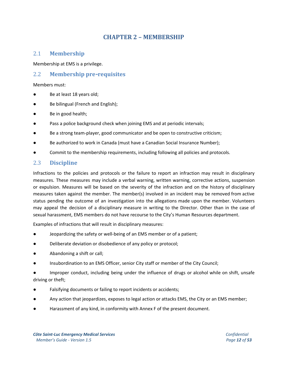## **CHAPTER 2 – MEMBERSHIP**

#### <span id="page-11-1"></span><span id="page-11-0"></span>2.1 **Membership**

Membership at EMS is a privilege.

#### <span id="page-11-2"></span>2.2 **Membership pre**-**requisites**

Members must:

- Be at least 18 years old;
- Be bilingual (French and English);
- Be in good health;
- Pass a police background check when joining EMS and at periodic intervals;
- Be a strong team-player, good communicator and be open to constructive criticism;
- Be authorized to work in Canada (must have a Canadian Social Insurance Number);
- Commit to the membership requirements, including following all policies and protocols.

## <span id="page-11-3"></span>2.3 **Discipline**

Infractions to the policies and protocols or the failure to report an infraction may result in disciplinary measures. These measures may include a verbal warning, written warning, corrective actions, suspension or expulsion. Measures will be based on the severity of the infraction and on the history of disciplinary measures taken against the member. The member(s) involved in an incident may be removed from active status pending the outcome of an investigation into the allegations made upon the member. Volunteers may appeal the decision of a disciplinary measure in writing to the Director. Other than in the case of sexual harassment, EMS members do not have recourse to the City's Human Resources department.

Examples of infractions that will result in disciplinary measures:

- Jeopardizing the safety or well-being of an EMS member or of a patient;
- Deliberate deviation or disobedience of any policy or protocol;
- Abandoning a shift or call;
- Insubordination to an EMS Officer, senior City staff or member of the City Council;
- Improper conduct, including being under the influence of drugs or alcohol while on shift, unsafe driving or theft;
- Falsifying documents or failing to report incidents or accidents;
- Any action that jeopardizes, exposes to legal action or attacks EMS, the City or an EMS member;
- Harassment of any kind, in conformity with Annex F of the present document.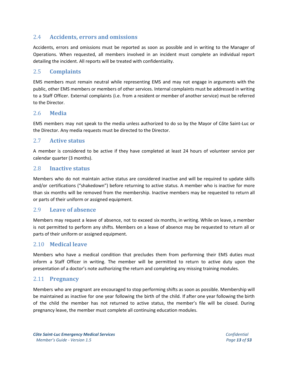## <span id="page-12-0"></span>2.4 **Accidents, errors and omissions**

Accidents, errors and omissions must be reported as soon as possible and in writing to the Manager of Operations. When requested, all members involved in an incident must complete an individual report detailing the incident. All reports will be treated with confidentiality.

## <span id="page-12-1"></span>2.5 **Complaints**

EMS members must remain neutral while representing EMS and may not engage in arguments with the public, other EMS members or members of other services. Internal complaints must be addressed in writing to a Staff Officer. External complaints (i.e. from a resident or member of another service) must be referred to the Director.

#### <span id="page-12-2"></span>2.6 **Media**

EMS members may not speak to the media unless authorized to do so by the Mayor of Côte Saint-Luc or the Director. Any media requests must be directed to the Director.

## <span id="page-12-3"></span>2.7 **Active status**

A member is considered to be active if they have completed at least 24 hours of volunteer service per calendar quarter (3 months).

## <span id="page-12-4"></span>2.8 **Inactive status**

Members who do not maintain active status are considered inactive and will be required to update skills and/or certifications ("shakedown") before returning to active status. A member who is inactive for more than six months will be removed from the membership. Inactive members may be requested to return all or parts of their uniform or assigned equipment.

#### <span id="page-12-5"></span>2.9 **Leave of absence**

Members may request a leave of absence, not to exceed six months, in writing. While on leave, a member is not permitted to perform any shifts. Members on a leave of absence may be requested to return all or parts of their uniform or assigned equipment.

#### <span id="page-12-6"></span>2.10 **Medical leave**

Members who have a medical condition that precludes them from performing their EMS duties must inform a Staff Officer in writing. The member will be permitted to return to active duty upon the presentation of a doctor's note authorizing the return and completing any missing training modules.

#### <span id="page-12-7"></span>2.11 **Pregnancy**

<span id="page-12-8"></span>Members who are pregnant are encouraged to stop performing shifts as soon as possible. Membership will be maintained as inactive for one year following the birth of the child. If after one year following the birth of the child the member has not returned to active status, the member's file will be closed. During pregnancy leave, the member must complete all continuing education modules.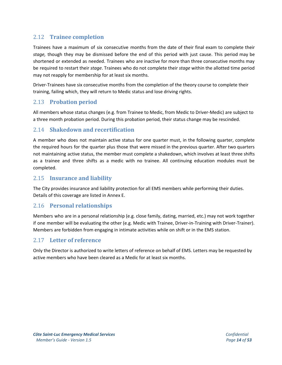## 2.12 **Trainee completion**

Trainees have a maximum of six consecutive months from the date of their final exam to complete their *stage,* though they may be dismissed before the end of this period with just cause. This period may be shortened or extended as needed. Trainees who are inactive for more than three consecutive months may be required to restart their *stage*. Trainees who do not complete their *stage* within the allotted time period may not reapply for membership for at least six months.

Driver-Trainees have six consecutive months from the completion of the theory course to complete their training, failing which, they will return to Medic status and lose driving rights.

## <span id="page-13-0"></span>2.13 **Probation period**

All members whose status changes (e.g. from Trainee to Medic, from Medic to Driver-Medic) are subject to a three month probation period. During this probation period, their status change may be rescinded.

## <span id="page-13-1"></span>2.14 **Shakedown and recertification**

A member who does not maintain active status for one quarter must, in the following quarter, complete the required hours for the quarter plus those that were missed in the previous quarter. After two quarters not maintaining active status, the member must complete a shakedown, which involves at least three shifts as a trainee and three shifts as a medic with no trainee. All continuing education modules must be completed.

## <span id="page-13-2"></span>2.15 **Insurance and liability**

The City provides insurance and liability protection for all EMS members while performing their duties. Details of this coverage are listed in Annex E.

#### <span id="page-13-3"></span>2.16 **Personal relationships**

Members who are in a personal relationship (e.g. close family, dating, married, etc.) may not work together if one member will be evaluating the other (e.g. Medic with Trainee, Driver-in-Training with Driver-Trainer). Members are forbidden from engaging in intimate activities while on shift or in the EMS station.

## <span id="page-13-4"></span>2.17 **Letter of reference**

Only the Director is authorized to write letters of reference on behalf of EMS. Letters may be requested by active members who have been cleared as a Medic for at least six months.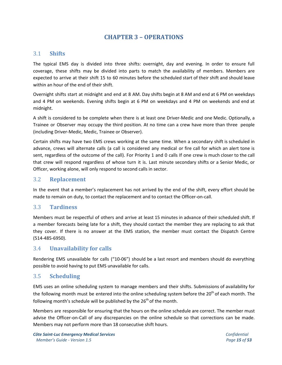## **CHAPTER 3 – OPERATIONS**

#### <span id="page-14-1"></span><span id="page-14-0"></span>3.1 **Shifts**

The typical EMS day is divided into three shifts: overnight, day and evening. In order to ensure full coverage, these shifts may be divided into parts to match the availability of members. Members are expected to arrive at their shift 15 to 60 minutes before the scheduled start of their shift and should leave within an hour of the end of their shift.

Overnight shifts start at midnight and end at 8 AM. Day shifts begin at 8 AM and end at 6 PM on weekdays and 4 PM on weekends. Evening shifts begin at 6 PM on weekdays and 4 PM on weekends and end at midnight.

A shift is considered to be complete when there is at least one Driver-Medic and one Medic. Optionally, a Trainee or Observer may occupy the third position. At no time can a crew have more than three people (including Driver-Medic, Medic, Trainee or Observer).

Certain shifts may have two EMS crews working at the same time. When a secondary shift is scheduled in advance, crews will alternate calls (a call is considered any medical or fire call for which an alert tone is sent, regardless of the outcome of the call). For Priority 1 and 0 calls If one crew is much closer to the call that crew will respond regardless of whose turn it is. Last minute secondary shifts or a Senior Medic, or Officer, working alone, will only respond to second calls in sector.

## <span id="page-14-2"></span>3.2 **Replacement**

In the event that a member's replacement has not arrived by the end of the shift, every effort should be made to remain on duty, to contact the replacement and to contact the Officer-on-call.

#### <span id="page-14-3"></span>3.3 **Tardiness**

Members must be respectful of others and arrive at least 15 minutes in advance of their scheduled shift. If a member forecasts being late for a shift, they should contact the member they are replacing to ask that they cover. If there is no answer at the EMS station, the member must contact the Dispatch Centre (514-485-6950).

#### <span id="page-14-4"></span>3.4 **Unavailability for calls**

Rendering EMS unavailable for calls ("10-06") should be a last resort and members should do everything possible to avoid having to put EMS unavailable for calls.

## <span id="page-14-5"></span>3.5 **Scheduling**

EMS uses an online scheduling system to manage members and their shifts. Submissions of availability for the following month must be entered into the online scheduling system before the 20<sup>th</sup> of each month. The following month's schedule will be published by the 26<sup>th</sup> of the month.

Members are responsible for ensuring that the hours on the online schedule are correct. The member must advise the Officer-on-Call of any discrepancies on the online schedule so that corrections can be made. Members may not perform more than 18 consecutive shift hours.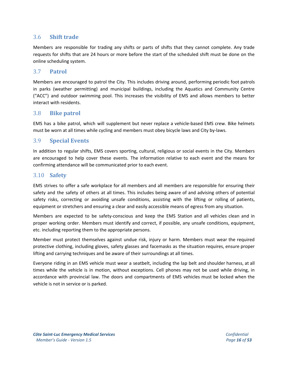## <span id="page-15-0"></span>3.6 **Shift trade**

Members are responsible for trading any shifts or parts of shifts that they cannot complete. Any trade requests for shifts that are 24 hours or more before the start of the scheduled shift must be done on the online scheduling system.

#### <span id="page-15-1"></span>3.7 **Patrol**

Members are encouraged to patrol the City. This includes driving around, performing periodic foot patrols in parks (weather permitting) and municipal buildings, including the Aquatics and Community Centre ("ACC") and outdoor swimming pool. This increases the visibility of EMS and allows members to better interact with residents.

#### <span id="page-15-2"></span>3.8 **Bike patrol**

EMS has a bike patrol, which will supplement but never replace a vehicle-based EMS crew. Bike helmets must be worn at all times while cycling and members must obey bicycle laws and City by-laws.

#### <span id="page-15-3"></span>3.9 **Special Events**

In addition to regular shifts, EMS covers sporting, cultural, religious or social events in the City. Members are encouraged to help cover these events. The information relative to each event and the means for confirming attendance will be communicated prior to each event.

#### <span id="page-15-4"></span>3.10 **Safety**

EMS strives to offer a safe workplace for all members and all members are responsible for ensuring their safety and the safety of others at all times. This includes being aware of and advising others of potential safety risks, correcting or avoiding unsafe conditions, assisting with the lifting or rolling of patients, equipment or stretchers and ensuring a clear and easily accessible means of egress from any situation.

Members are expected to be safety-conscious and keep the EMS Station and all vehicles clean and in proper working order. Members must identify and correct, if possible, any unsafe conditions, equipment, etc. including reporting them to the appropriate persons.

Member must protect themselves against undue risk, injury or harm. Members must wear the required protective clothing, including gloves, safety glasses and facemasks as the situation requires, ensure proper lifting and carrying techniques and be aware of their surroundings at all times.

Everyone riding in an EMS vehicle must wear a seatbelt, including the lap belt and shoulder harness, at all times while the vehicle is in motion, without exceptions. Cell phones may not be used while driving, in accordance with provincial law. The doors and compartments of EMS vehicles must be locked when the vehicle is not in service or is parked.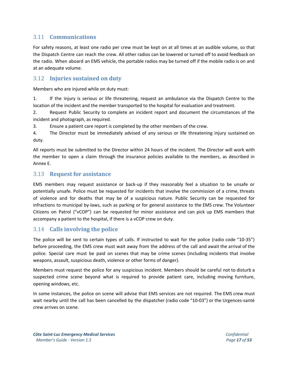## <span id="page-16-0"></span>3.11 **Communications**

For safety reasons, at least one radio per crew must be kept on at all times at an audible volume, so that the Dispatch Centre can reach the crew. All other radios can be lowered or turned off to avoid feedback on the radio. When aboard an EMS vehicle, the portable radios may be turned off if the mobile radio is on and at an adequate volume.

## <span id="page-16-1"></span>3.12 **Injuries sustained on duty**

Members who are injured while on duty must:

1. If the injury is serious or life threatening, request an ambulance via the Dispatch Centre to the location of the incident and the member transported to the hospital for evaluation and treatment.

2. Request Public Security to complete an incident report and document the circumstances of the incident and photograph, as required.

3. Ensure a patient care report is completed by the other members of the crew.

4. The Director must be immediately advised of any serious or life threatening injury sustained on duty.

All reports must be submitted to the Director within 24 hours of the incident. The Director will work with the member to open a claim through the insurance policies available to the members, as described in Annex E.

#### <span id="page-16-2"></span>3.13 **Request for assistance**

EMS members may request assistance or back-up if they reasonably feel a situation to be unsafe or potentially unsafe. Police must be requested for incidents that involve the commission of a crime, threats of violence and for deaths that may be of a suspicious nature. Public Security can be requested for infractions to municipal by-laws, such as parking or for general assistance to the EMS crew. The Volunteer Citizens on Patrol ("vCOP") can be requested for minor assistance and can pick up EMS members that accompany a patient to the hospital, if there is a vCOP crew on duty.

#### <span id="page-16-3"></span>3.14 **Calls involving the police**

The police will be sent to certain types of calls. If instructed to wait for the police (radio code "10-35") before proceeding, the EMS crew must wait away from the address of the call and await the arrival of the police. Special care must be paid on scenes that may be crime scenes (including incidents that involve weapons, assault, suspicious death, violence or other forms of danger).

Members must request the police for any suspicious incident. Members should be careful not to disturb a suspected crime scene beyond what is required to provide patient care, including moving furniture, opening windows, etc.

<span id="page-16-4"></span>In some instances, the police on scene will advise that EMS services are not required. The EMS crew must wait nearby until the call has been cancelled by the dispatcher (radio code "10-03") or the Urgences-santé crew arrives on scene.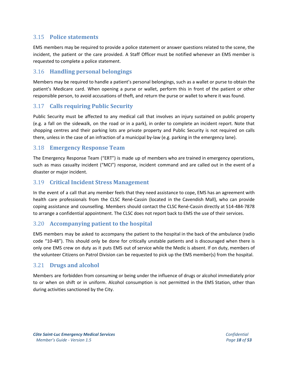## 3.15 **Police statements**

EMS members may be required to provide a police statement or answer questions related to the scene, the incident, the patient or the care provided. A Staff Officer must be notified whenever an EMS member is requested to complete a police statement.

## <span id="page-17-0"></span>3.16 **Handling personal belongings**

Members may be required to handle a patient's personal belongings, such as a wallet or purse to obtain the patient's Medicare card. When opening a purse or wallet, perform this in front of the patient or other responsible person, to avoid accusations of theft, and return the purse or wallet to where it was found.

## <span id="page-17-1"></span>3.17 **Calls requiring Public Security**

Public Security must be affected to any medical call that involves an injury sustained on public property (e.g. a fall on the sidewalk, on the road or in a park), in order to complete an incident report. Note that shopping centres and their parking lots are private property and Public Security is not required on calls there, unless in the case of an infraction of a municipal by-law (e.g. parking in the emergency lane).

#### <span id="page-17-2"></span>3.18 **Emergency Response Team**

The Emergency Response Team ("ERT") is made up of members who are trained in emergency operations, such as mass casualty incident ("MCI") response, incident command and are called out in the event of a disaster or major incident.

#### <span id="page-17-3"></span>3.19 **Critical Incident Stress Management**

In the event of a call that any member feels that they need assistance to cope, EMS has an agreement with health care professionals from the CLSC René-Cassin (located in the Cavendish Mall), who can provide coping assistance and counselling. Members should contact the CLSC René-Cassin directly at 514-484-7878 to arrange a confidential appointment. The CLSC does not report back to EMS the use of their services.

## <span id="page-17-4"></span>3.20 **Accompanying patient to the hospital**

EMS members may be asked to accompany the patient to the hospital in the back of the ambulance (radio code "10-48"). This should only be done for critically unstable patients and is discouraged when there is only one EMS crew on duty as it puts EMS out of service while the Medic is absent. If on duty, members of the volunteer Citizens on Patrol Division can be requested to pick up the EMS member(s) from the hospital.

#### <span id="page-17-5"></span>3.21 **Drugs and alcohol**

<span id="page-17-6"></span>Members are forbidden from consuming or being under the influence of drugs or alcohol immediately prior to or when on shift or in uniform. Alcohol consumption is not permitted in the EMS Station, other than during activities sanctioned by the City.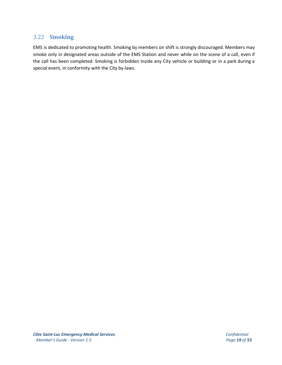## 3.22 **Smoking**

<span id="page-18-0"></span>EMS is dedicated to promoting health. Smoking by members on shift is strongly discouraged. Members may smoke only in designated areas outside of the EMS Station and never while on the scene of a call, even if the call has been completed. Smoking is forbidden inside any City vehicle or building or in a park during a special event, in conformity with the City by-laws.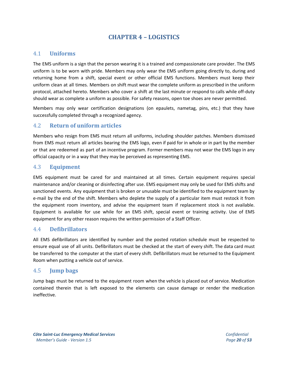## **CHAPTER 4 – LOGISTICS**

#### <span id="page-19-0"></span>4.1 **Uniforms**

The EMS uniform is a sign that the person wearing it is a trained and compassionate care provider. The EMS uniform is to be worn with pride. Members may only wear the EMS uniform going directly to, during and returning home from a shift, special event or other official EMS functions. Members must keep their uniform clean at all times. Members on shift must wear the complete uniform as prescribed in the uniform protocol, attached hereto. Members who cover a shift at the last minute or respond to calls while off-duty should wear as complete a uniform as possible. For safety reasons, open toe shoes are never permitted.

Members may only wear certification designations (on epaulets, nametag, pins, etc.) that they have successfully completed through a recognized agency.

#### <span id="page-19-1"></span>4.2 **Return of uniform articles**

Members who resign from EMS must return all uniforms, including shoulder patches. Members dismissed from EMS must return all articles bearing the EMS logo, even if paid for in whole or in part by the member or that are redeemed as part of an incentive program. Former members may not wear the EMS logo in any official capacity or in a way that they may be perceived as representing EMS.

#### <span id="page-19-2"></span>4.3 **Equipment**

EMS equipment must be cared for and maintained at all times. Certain equipment requires special maintenance and/or cleaning or disinfecting after use. EMS equipment may only be used for EMS shifts and sanctioned events. Any equipment that is broken or unusable must be identified to the equipment team by e-mail by the end of the shift. Members who deplete the supply of a particular item must restock it from the equipment room inventory, and advise the equipment team if replacement stock is not available. Equipment is available for use while for an EMS shift, special event or training activity. Use of EMS equipment for any other reason requires the written permission of a Staff Officer.

#### <span id="page-19-3"></span>4.4 **Defibrillators**

All EMS defibrillators are identified by number and the posted rotation schedule must be respected to ensure equal use of all units. Defibrillators must be checked at the start of every shift. The data card must be transferred to the computer at the start of every shift. Defibrillators must be returned to the Equipment Room when putting a vehicle out of service.

#### <span id="page-19-4"></span>4.5 **Jump bags**

Jump bags must be returned to the equipment room when the vehicle is placed out of service. Medication contained therein that is left exposed to the elements can cause damage or render the medication ineffective.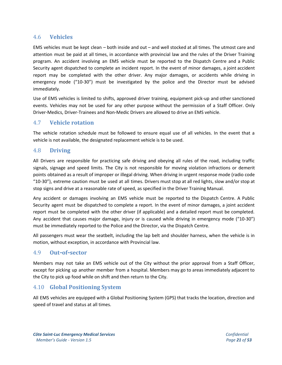## <span id="page-20-0"></span>4.6 **Vehicles**

EMS vehicles must be kept clean – both inside and out – and well stocked at all times. The utmost care and attention must be paid at all times, in accordance with provincial law and the rules of the Driver Training program. An accident involving an EMS vehicle must be reported to the Dispatch Centre and a Public Security agent dispatched to complete an incident report. In the event of minor damages, a joint accident report may be completed with the other driver. Any major damages, or accidents while driving in emergency mode ("10-30") must be investigated by the police and the Director must be advised immediately.

Use of EMS vehicles is limited to shifts, approved driver training, equipment pick-up and other sanctioned events. Vehicles may not be used for any other purpose without the permission of a Staff Officer. Only Driver-Medics, Driver-Trainees and Non-Medic Drivers are allowed to drive an EMS vehicle.

#### <span id="page-20-1"></span>4.7 **Vehicle rotation**

The vehicle rotation schedule must be followed to ensure equal use of all vehicles. In the event that a vehicle is not available, the designated replacement vehicle is to be used.

#### <span id="page-20-2"></span>4.8 **Driving**

All Drivers are responsible for practicing safe driving and obeying all rules of the road, including traffic signals, signage and speed limits. The City is not responsible for moving violation infractions or demerit points obtained as a result of improper or illegal driving. When driving in urgent response mode (radio code "10-30"), extreme caution must be used at all times. Drivers must stop at all red lights, slow and/or stop at stop signs and drive at a reasonable rate of speed, as specified in the Driver Training Manual.

Any accident or damages involving an EMS vehicle must be reported to the Dispatch Centre. A Public Security agent must be dispatched to complete a report. In the event of minor damages, a joint accident report must be completed with the other driver (if applicable) and a detailed report must be completed. Any accident that causes major damage, injury or is caused while driving in emergency mode ("10-30") must be immediately reported to the Police and the Director, via the Dispatch Centre.

All passengers must wear the seatbelt, including the lap belt and shoulder harness, when the vehicle is in motion, without exception, in accordance with Provincial law.

#### <span id="page-20-3"></span>4.9 **Out**-**of**-**sector**

Members may not take an EMS vehicle out of the City without the prior approval from a Staff Officer, except for picking up another member from a hospital. Members may go to areas immediately adjacent to the City to pick up food while on shift and then return to the City.

#### <span id="page-20-4"></span>4.10 **Global Positioning System**

<span id="page-20-5"></span>All EMS vehicles are equipped with a Global Positioning System (GPS) that tracks the location, direction and speed of travel and status at all times.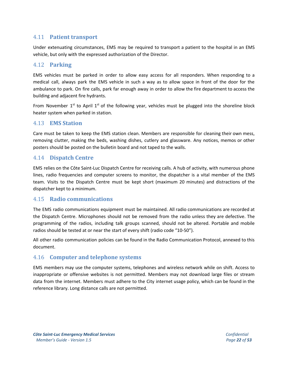## 4.11 **Patient transport**

Under extenuating circumstances, EMS may be required to transport a patient to the hospital in an EMS vehicle, but only with the expressed authorization of the Director.

#### <span id="page-21-0"></span>4.12 **Parking**

EMS vehicles must be parked in order to allow easy access for all responders. When responding to a medical call, always park the EMS vehicle in such a way as to allow space in front of the door for the ambulance to park. On fire calls, park far enough away in order to allow the fire department to access the building and adjacent fire hydrants.

From November 1<sup>st</sup> to April 1<sup>st</sup> of the following year, vehicles must be plugged into the shoreline block heater system when parked in station.

#### <span id="page-21-1"></span>4.13 **EMS Station**

Care must be taken to keep the EMS station clean. Members are responsible for cleaning their own mess, removing clutter, making the beds, washing dishes, cutlery and glassware. Any notices, memos or other posters should be posted on the bulletin board and not taped to the walls.

#### <span id="page-21-2"></span>4.14 **Dispatch Centre**

EMS relies on the Côte Saint-Luc Dispatch Centre for receiving calls. A hub of activity, with numerous phone lines, radio frequencies and computer screens to monitor, the dispatcher is a vital member of the EMS team. Visits to the Dispatch Centre must be kept short (maximum 20 minutes) and distractions of the dispatcher kept to a minimum.

#### <span id="page-21-3"></span>4.15 **Radio communications**

The EMS radio communications equipment must be maintained. All radio communications are recorded at the Dispatch Centre. Microphones should not be removed from the radio unless they are defective. The programming of the radios, including talk groups scanned, should not be altered. Portable and mobile radios should be tested at or near the start of every shift (radio code "10-50").

All other radio communication policies can be found in the Radio Communication Protocol, annexed to this document.

#### <span id="page-21-4"></span>4.16 **Computer and telephone systems**

<span id="page-21-5"></span>EMS members may use the computer systems, telephones and wireless network while on shift. Access to inappropriate or offensive websites is not permitted. Members may not download large files or stream data from the internet. Members must adhere to the City internet usage policy, which can be found in the reference library. Long distance calls are not permitted.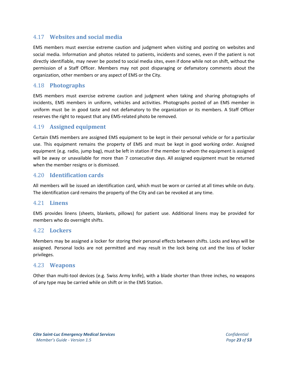## 4.17 **Websites and social media**

EMS members must exercise extreme caution and judgment when visiting and posting on websites and social media. Information and photos related to patients, incidents and scenes, even if the patient is not directly identifiable, may never be posted to social media sites, even if done while not on shift, without the permission of a Staff Officer. Members may not post disparaging or defamatory comments about the organization, other members or any aspect of EMS or the City.

## <span id="page-22-0"></span>4.18 **Photographs**

EMS members must exercise extreme caution and judgment when taking and sharing photographs of incidents, EMS members in uniform, vehicles and activities. Photographs posted of an EMS member in uniform must be in good taste and not defamatory to the organization or its members. A Staff Officer reserves the right to request that any EMS-related photo be removed.

## <span id="page-22-1"></span>4.19 **Assigned equipment**

Certain EMS members are assigned EMS equipment to be kept in their personal vehicle or for a particular use. This equipment remains the property of EMS and must be kept in good working order. Assigned equipment (e.g. radio, jump bag), must be left in station if the member to whom the equipment is assigned will be away or unavailable for more than 7 consecutive days. All assigned equipment must be returned when the member resigns or is dismissed.

## <span id="page-22-2"></span>4.20 **Identification cards**

All members will be issued an identification card, which must be worn or carried at all times while on duty. The identification card remains the property of the City and can be revoked at any time.

#### <span id="page-22-3"></span>4.21 **Linens**

EMS provides linens (sheets, blankets, pillows) for patient use. Additional linens may be provided for members who do overnight shifts.

#### <span id="page-22-4"></span>4.22 **Lockers**

Members may be assigned a locker for storing their personal effects between shifts. Locks and keys will be assigned. Personal locks are not permitted and may result in the lock being cut and the loss of locker privileges.

#### <span id="page-22-5"></span>4.23 **Weapons**

<span id="page-22-6"></span>Other than multi-tool devices (e.g. Swiss Army knife), with a blade shorter than three inches, no weapons of any type may be carried while on shift or in the EMS Station.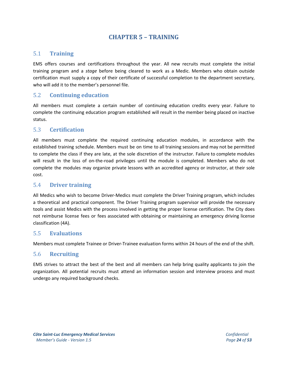## **CHAPTER 5 – TRAINING**

## <span id="page-23-0"></span>5.1 **Training**

EMS offers courses and certifications throughout the year. All new recruits must complete the initial training program and a *stage* before being cleared to work as a Medic. Members who obtain outside certification must supply a copy of their certificate of successful completion to the department secretary, who will add it to the member's personnel file.

## <span id="page-23-1"></span>5.2 **Continuing education**

All members must complete a certain number of continuing education credits every year. Failure to complete the continuing education program established will result in the member being placed on inactive status.

#### 5.3 **Certification**

All members must complete the required continuing education modules, in accordance with the established training schedule. Members must be on time to all training sessions and may not be permitted to complete the class if they are late, at the sole discretion of the instructor. Failure to complete modules will result in the loss of on-the-road privileges until the module is completed. Members who do not complete the modules may organize private lessons with an accredited agency or instructor, at their sole cost.

#### <span id="page-23-2"></span>5.4 **Driver training**

All Medics who wish to become Driver-Medics must complete the Driver Training program, which includes a theoretical and practical component. The Driver Training program supervisor will provide the necessary tools and assist Medics with the process involved in getting the proper license certification. The City does not reimburse license fees or fees associated with obtaining or maintaining an emergency driving license classification (4A).

#### <span id="page-23-3"></span>5.5 **Evaluations**

Members must complete Trainee or Driver-Trainee evaluation forms within 24 hours of the end of the shift.

#### <span id="page-23-4"></span>5.6 **Recruiting**

EMS strives to attract the best of the best and all members can help bring quality applicants to join the organization. All potential recruits must attend an information session and interview process and must undergo any required background checks.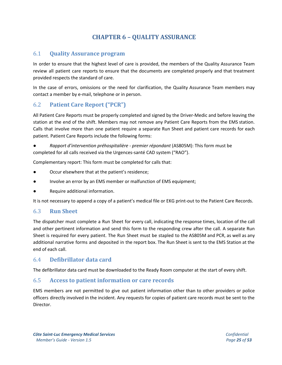## **CHAPTER 6 – QUALITY ASSURANCE**

#### <span id="page-24-1"></span><span id="page-24-0"></span>6.1 **Quality Assurance program**

In order to ensure that the highest level of care is provided, the members of the Quality Assurance Team review all patient care reports to ensure that the documents are completed properly and that treatment provided respects the standard of care.

In the case of errors, omissions or the need for clarification, the Quality Assurance Team members may contact a member by e-mail, telephone or in person.

## <span id="page-24-2"></span>6.2 **Patient Care Report ("PCR")**

All Patient Care Reports must be properly completed and signed by the Driver-Medic and before leaving the station at the end of the shift. Members may not remove any Patient Care Reports from the EMS station. Calls that involve more than one patient require a separate Run Sheet and patient care records for each patient. Patient Care Reports include the following forms:

● *Rapport d'intervention préhospitalière - premier répondant* (AS805M): This form must be completed for all calls received via the Urgences-santé CAD system ("RAO").

Complementary report: This form must be completed for calls that:

- Occur elsewhere that at the patient's residence;
- Involve an error by an EMS member or malfunction of EMS equipment;
- Require additional information.

It is not necessary to append a copy of a patient's medical file or EKG print-out to the Patient Care Records.

#### <span id="page-24-3"></span>6.3 **Run Sheet**

The dispatcher must complete a Run Sheet for every call, indicating the response times, location of the call and other pertinent information and send this form to the responding crew after the call. A separate Run Sheet is required for every patient. The Run Sheet must be stapled to the AS805M and PCR, as well as any additional narrative forms and deposited in the report box. The Run Sheet is sent to the EMS Station at the end of each call.

#### <span id="page-24-4"></span>6.4 **Defibrillator data card**

The defibrillator data card must be downloaded to the Ready Room computer at the start of every shift.

#### <span id="page-24-5"></span>6.5 **Access to patient information or care records**

EMS members are not permitted to give out patient information other than to other providers or police officers directly involved in the incident. Any requests for copies of patient care records must be sent to the Director.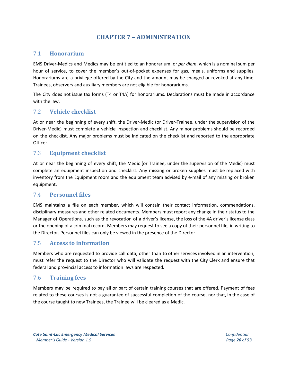## **CHAPTER 7 – ADMINISTRATION**

## <span id="page-25-1"></span><span id="page-25-0"></span>7.1 **Honorarium**

EMS Driver-Medics and Medics may be entitled to an honorarium, or *per diem*, which is a nominal sum per hour of service, to cover the member's out-of-pocket expenses for gas, meals, uniforms and supplies. Honorariums are a privilege offered by the City and the amount may be changed or revoked at any time. Trainees, observers and auxiliary members are not eligible for honorariums.

The City does not issue tax forms (T4 or T4A) for honorariums. Declarations must be made in accordance with the law.

## <span id="page-25-2"></span>7.2 **Vehicle checklist**

At or near the beginning of every shift, the Driver-Medic (or Driver-Trainee, under the supervision of the Driver-Medic) must complete a vehicle inspection and checklist. Any minor problems should be recorded on the checklist. Any major problems must be indicated on the checklist and reported to the appropriate Officer.

## <span id="page-25-3"></span>7.3 **Equipment checklist**

At or near the beginning of every shift, the Medic (or Trainee, under the supervision of the Medic) must complete an equipment inspection and checklist. Any missing or broken supplies must be replaced with inventory from the Equipment room and the equipment team advised by e-mail of any missing or broken equipment.

#### <span id="page-25-4"></span>7.4 **Personnel files**

EMS maintains a file on each member, which will contain their contact information, commendations, disciplinary measures and other related documents. Members must report any change in their status to the Manager of Operations, such as the revocation of a driver's license, the loss of the 4A driver's license class or the opening of a criminal record. Members may request to see a copy of their personnel file, in writing to the Director. Personnel files can only be viewed in the presence of the Director.

## <span id="page-25-5"></span>7.5 **Access to information**

Members who are requested to provide call data, other than to other services involved in an intervention, must refer the request to the Director who will validate the request with the City Clerk and ensure that federal and provincial access to information laws are respected.

## <span id="page-25-6"></span>7.6 **Training fees**

Members may be required to pay all or part of certain training courses that are offered. Payment of fees related to these courses is not a guarantee of successful completion of the course, nor that, in the case of the course taught to new Trainees, the Trainee will be cleared as a Medic.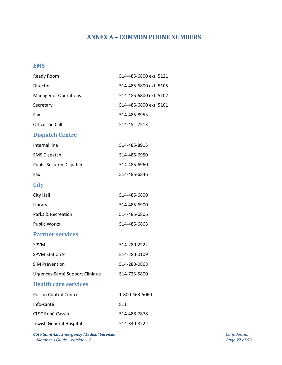## **ANNEX A – COMMON PHONE NUMBERS**

## <span id="page-26-0"></span>**EMS**

| Ready Room                      | 514-485-6800 ext. 5121 |
|---------------------------------|------------------------|
| Director                        | 514-485-6800 ext. 5105 |
| <b>Manager of Operations</b>    | 514-485-6800 ext. 5102 |
| Secretary                       | 514-485-6800 ext. 5101 |
| Fax                             | 514-485-8953           |
| Officer on Call                 | 514-451-7513           |
| <b>Dispatch Centre</b>          |                        |
| Internal line                   | 514-485-8915           |
| <b>EMS Dispatch</b>             | 514-485-6950           |
| <b>Public Security Dispatch</b> | 514-485-6960           |
| Fax                             | 514-485-6846           |
| <b>City</b>                     |                        |
| City Hall                       | 514-485-6800           |
| Library                         | 514-485-6900           |
| Parks & Recreation              | 514-485-6806           |
| <b>Public Works</b>             | 514-485-6868           |
| <b>Partner services</b>         |                        |
| <b>SPVM</b>                     | 514-280-2222           |
| <b>SPVM Station 9</b>           | 514-280-0109           |
| <b>SIM Prevention</b>           | 514-280-0868           |
| Urgences-Santé Support Clinique | 514-723-5800           |
| <b>Health care services</b>     |                        |
| <b>Poison Control Centre</b>    | 1-800-463-5060         |
| Info-santé                      | 811                    |
| <b>CLSC René-Cassin</b>         | 514-488-7878           |
| Jewish General Hospital         | 514-340-8222           |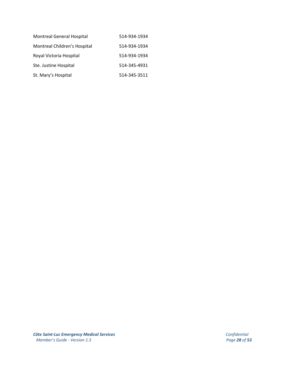| <b>Montreal General Hospital</b> | 514-934-1934 |
|----------------------------------|--------------|
| Montreal Children's Hospital     | 514-934-1934 |
| Royal Victoria Hospital          | 514-934-1934 |
| Ste. Justine Hospital            | 514-345-4931 |
| St. Mary's Hospital              | 514-345-3511 |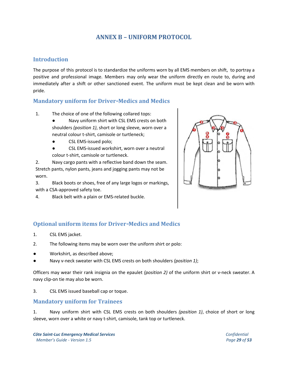## **ANNEX B – UNIFORM PROTOCOL**

## <span id="page-28-0"></span>**Introduction**

The purpose of this protocol is to standardize the uniforms worn by all EMS members on shift, to portray a positive and professional image. Members may only wear the uniform directly en route to, during and immediately after a shift or other sanctioned event. The uniform must be kept clean and be worn with pride.

## **Mandatory uniform for Driver**-**Medics and Medics**

- 1. The choice of one of the following collared tops:
	- Navy uniform shirt with CSL EMS crests on both shoulders *(position 1)*, short or long sleeve, worn over a neutral colour t-shirt, camisole or turtleneck;
	- CSL EMS-issued polo;
	- CSL EMS-issued workshirt, worn over a neutral colour t-shirt, camisole or turtleneck.

2. Navy cargo pants with a reflective band down the seam. Stretch pants, nylon pants, jeans and jogging pants may not be worn.

3. Black boots or shoes, free of any large logos or markings, with a CSA-approved safety toe.

4. Black belt with a plain or EMS-related buckle.



## **Optional uniform items for Driver**-**Medics and Medics**

- 1. CSL EMS jacket.
- 2. The following items may be worn over the uniform shirt or polo:
- Workshirt, as described above;
- Navy v-neck sweater with CSL EMS crests on both shoulders *(position 1)*;

Officers may wear their rank insignia on the epaulet *(position 2)* of the uniform shirt or v-neck sweater. A navy clip-on tie may also be worn.

3. CSL EMS issued baseball cap or toque.

## **Mandatory uniform for Trainees**

1. Navy uniform shirt with CSL EMS crests on both shoulders *(position 1)*, choice of short or long sleeve, worn over a white or navy t-shirt, camisole, tank top or turtleneck.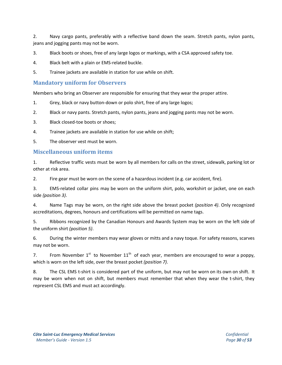2. Navy cargo pants, preferably with a reflective band down the seam. Stretch pants, nylon pants, jeans and jogging pants may not be worn.

3. Black boots or shoes, free of any large logos or markings, with a CSA approved safety toe.

- 4. Black belt with a plain or EMS-related buckle.
- 5. Trainee jackets are available in station for use while on shift.

#### **Mandatory uniform for Observers**

Members who bring an Observer are responsible for ensuring that they wear the proper attire.

- 1. Grey, black or navy button-down or polo shirt, free of any large logos;
- 2. Black or navy pants. Stretch pants, nylon pants, jeans and jogging pants may not be worn.
- 3. Black closed-toe boots or shoes;
- 4. Trainee jackets are available in station for use while on shift;
- 5. The observer vest must be worn.

#### **Miscellaneous uniform items**

1. Reflective traffic vests must be worn by all members for calls on the street, sidewalk, parking lot or other at risk area.

2. Fire gear must be worn on the scene of a hazardous incident (e.g. car accident, fire).

3. EMS-related collar pins may be worn on the uniform shirt, polo, workshirt or jacket, one on each side *(position 3)*.

4. Name Tags may be worn, on the right side above the breast pocket *(position 4)*. Only recognized accreditations, degrees, honours and certifications will be permitted on name tags.

5. Ribbons recognized by the Canadian Honours and Awards System may be worn on the left side of the uniform shirt *(position 5)*.

6. During the winter members may wear gloves or mitts and a navy toque. For safety reasons, scarves may not be worn.

7. From November  $1^{st}$  to November  $11^{th}$  of each year, members are encouraged to wear a poppy, which is worn on the left side, over the breast pocket *(position 7)*.

8. The CSL EMS t-shirt is considered part of the uniform, but may not be worn on its own on shift. It may be worn when not on shift, but members must remember that when they wear the t-shirt, they represent CSL EMS and must act accordingly.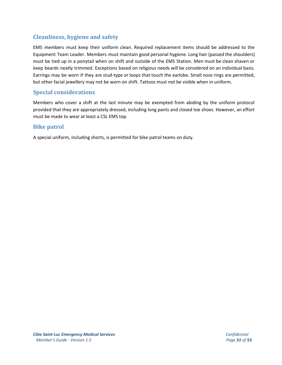## **Cleanliness, hygiene and safety**

EMS members must keep their uniform clean. Required replacement items should be addressed to the Equipment Team Leader. Members must maintain good personal hygiene. Long hair (passed the shoulders) must be tied up in a ponytail when on shift and outside of the EMS Station. Men must be clean shaven or keep beards neatly trimmed. Exceptions based on religious needs will be considered on an individual basis. Earrings may be worn if they are stud-type or loops that touch the earlobe. Small nose rings are permitted, but other facial jewellery may not be worn on shift. Tattoos must not be visible when in uniform.

## **Special considerations**

Members who cover a shift at the last minute may be exempted from abiding by the uniform protocol provided that they are appropriately dressed, including long pants and closed toe shoes. However, an effort must be made to wear at least a CSL EMS top.

## **Bike patrol**

A special uniform, including shorts, is permitted for bike patrol teams on duty.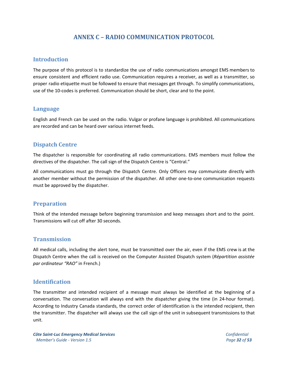## **ANNEX C – RADIO COMMUNICATION PROTOCOL**

#### <span id="page-31-0"></span>**Introduction**

The purpose of this protocol is to standardize the use of radio communications amongst EMS members to ensure consistent and efficient radio use. Communication requires a receiver, as well as a transmitter, so proper radio etiquette must be followed to ensure that messages get through. To simplify communications, use of the 10-codes is preferred. Communication should be short, clear and to the point.

#### **Language**

English and French can be used on the radio. Vulgar or profane language is prohibited. All communications are recorded and can be heard over various internet feeds.

## **Dispatch Centre**

The dispatcher is responsible for coordinating all radio communications. EMS members must follow the directives of the dispatcher. The call sign of the Dispatch Centre is "Central."

All communications must go through the Dispatch Centre. Only Officers may communicate directly with another member without the permission of the dispatcher. All other one-to-one communication requests must be approved by the dispatcher.

#### **Preparation**

Think of the intended message before beginning transmission and keep messages short and to the point. Transmissions will cut off after 30 seconds.

#### **Transmission**

All medical calls, including the alert tone, must be transmitted over the air, even if the EMS crew is at the Dispatch Centre when the call is received on the Computer Assisted Dispatch system (*Répartition assistée par ordinateur "RAO"* in French.)

#### **Identification**

The transmitter and intended recipient of a message must always be identified at the beginning of a conversation. The conversation will always end with the dispatcher giving the time (in 24-hour format). According to Industry Canada standards, the correct order of identification is the intended recipient, then the transmitter. The dispatcher will always use the call sign of the unit in subsequent transmissions to that unit.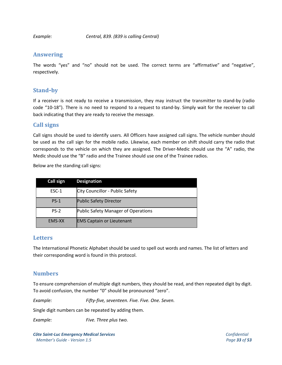*Example: Central, 839. (839 is calling Central)*

## **Answering**

The words "yes" and "no" should not be used. The correct terms are "affirmative" and "negative", respectively.

## **Stand**-**by**

If a receiver is not ready to receive a transmission, they may instruct the transmitter to stand-by (radio code "10-18"). There is no need to respond to a request to stand-by. Simply wait for the receiver to call back indicating that they are ready to receive the message.

## **Call signs**

Call signs should be used to identify users. All Officers have assigned call signs. The vehicle number should be used as the call sign for the mobile radio. Likewise, each member on shift should carry the radio that corresponds to the vehicle on which they are assigned. The Driver-Medic should use the "A" radio, the Medic should use the "B" radio and the Trainee should use one of the Trainee radios.

Below are the standing call signs:

| Call sign | <b>Designation</b>                  |
|-----------|-------------------------------------|
| ESC-1     | City Councillor - Public Safety     |
| $PS-1$    | <b>Public Safety Director</b>       |
| $PS-2$    | Public Safety Manager of Operations |
| EMS-XX    | <b>EMS Captain or Lieutenant</b>    |

#### **Letters**

The International Phonetic Alphabet should be used to spell out words and names. The list of letters and their corresponding word is found in this protocol.

## **Numbers**

To ensure comprehension of multiple digit numbers, they should be read, and then repeated digit by digit. To avoid confusion, the number "0" should be pronounced "zero".

*Example: Fifty-five, seventeen. Five. Five. One. Seven.*

Single digit numbers can be repeated by adding them.

*Example: Five. Three plus two.*

*Côte Saint-Luc Emergency Medical Services Confidential Member's Guide - Version 1.5 Page 33 of 53*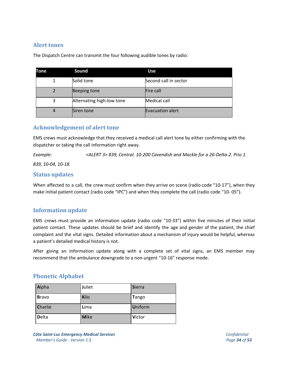## **Alert tones**

The Dispatch Centre can transmit the four following audible tones by radio:

| <b>Tone</b> | Sound                     | <b>Use</b>              |
|-------------|---------------------------|-------------------------|
|             | Solid tone                | Second call in sector   |
|             | Beeping tone              | Fire call               |
| 3           | Alternating high-low tone | <b>Medical call</b>     |
| 4           | Siren tone                | <b>Evacuation alert</b> |

## **Acknowledgement of alert tone**

EMS crews must acknowledge that they received a medical call alert tone by either confirming with the dispatcher or taking the call information right away.

*Example: <ALERT 3> 839, Central. 10-200 Cavendish and Mackle for a 26-Delta-2. Prio 1.*

*839, 10-04, 10-18.*

## **Status updates**

When affected to a call, the crew must confirm when they arrive on scene (radio code "10-17"), when they make initial patient contact (radio code "IPC") and when they complete the call (radio code "10- 05").

## **Information update**

EMS crews must provide an information update (radio code "10-33") within five minutes of their initial patient contact. These updates should be brief and identify the age and gender of the patient, the chief complaint and the vital signs. Detailed information about a mechanism of injury would be helpful, whereas a patient's detailed medical history is not.

After giving an information update along with a complete set of vital signs, an EMS member may recommend that the ambulance downgrade to a non-urgent "10-16" response mode.

## **Phonetic Alphabet**

| Alpha          | <b>Juliet</b> | Sierra         |
|----------------|---------------|----------------|
| <b>Bravo</b>   | Kilo          | Tango          |
| <b>Charlie</b> | Lima          | <b>Uniform</b> |
| <b>Delta</b>   | <b>Mike</b>   | Victor         |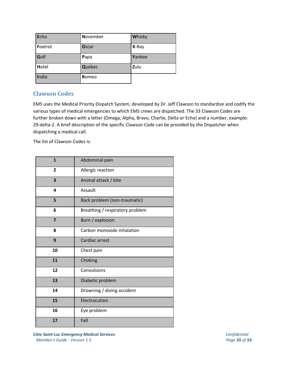| Echo    | <b>November</b> | Whisky  |
|---------|-----------------|---------|
| Foxtrot | Oscar           | $X-Ray$ |
| Golf    | Papa            | Yankee  |
| Hotel   | <b>Quebec</b>   | Zulu    |
| India   | Romeo           |         |

## **Clawson Codes**

EMS uses the Medical Priority Dispatch System, developed by Dr. Jeff Clawson to standardize and codify the various types of medical emergencies to which EMS crews are dispatched. The 33 Clawson Codes are further broken down with a letter (Omega, Alpha, Bravo, Charlie, Delta or Echo) and a number, example: 29-delta-2. A brief description of the specific Clawson Code can be provided by the Dispatcher when dispatching a medical call.

The list of Clawson Codes is:

| $\mathbf{1}$   | Abdominal pain                  |
|----------------|---------------------------------|
| $\overline{2}$ | Allergic reaction               |
| 3              | Animal attack / bite            |
| 4              | Assault                         |
| 5              | Back problem (non-traumatic)    |
| 6              | Breathing / respiratory problem |
| $\overline{7}$ | Burn / explosion                |
| 8              | Carbon monoxide inhalation      |
| 9              | Cardiac arrest                  |
| 10             | Chest pain                      |
| 11             | Choking                         |
| 12             | Convulsions                     |
| 13             | Diabetic problem                |
| 14             | Drowning / diving accident      |
| 15             | Electrocution                   |
| 16             | Eye problem                     |
| 17             | Fall                            |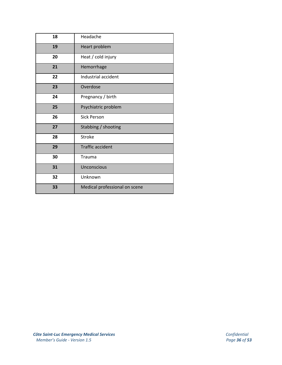| 18 | Headache                      |
|----|-------------------------------|
| 19 | Heart problem                 |
| 20 | Heat / cold injury            |
| 21 | Hemorrhage                    |
| 22 | Industrial accident           |
| 23 | Overdose                      |
| 24 | Pregnancy / birth             |
| 25 | Psychiatric problem           |
| 26 | <b>Sick Person</b>            |
| 27 | Stabbing / shooting           |
| 28 | <b>Stroke</b>                 |
| 29 | <b>Traffic accident</b>       |
| 30 | Trauma                        |
| 31 | <b>Unconscious</b>            |
| 32 | Unknown                       |
| 33 | Medical professional on scene |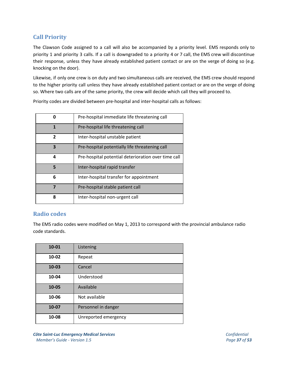## **Call Priority**

The Clawson Code assigned to a call will also be accompanied by a priority level. EMS responds only to priority 1 and priority 3 calls. If a call is downgraded to a priority 4 or 7 call, the EMS crew will discontinue their response, unless they have already established patient contact or are on the verge of doing so (e.g. knocking on the door).

Likewise, if only one crew is on duty and two simultaneous calls are received, the EMS crew should respond to the higher priority call unless they have already established patient contact or are on the verge of doing so. Where two calls are of the same priority, the crew will decide which call they will proceed to.

Priority codes are divided between pre-hospital and inter-hospital calls as follows:

| ŋ            | Pre-hospital immediate life threatening call        |  |  |  |
|--------------|-----------------------------------------------------|--|--|--|
| 1            | Pre-hospital life threatening call                  |  |  |  |
| $\mathbf{z}$ | Inter-hospital unstable patient                     |  |  |  |
| 3            | Pre-hospital potentially life threatening call      |  |  |  |
| 4            | Pre-hospital potential deterioration over time call |  |  |  |
| 5            | Inter-hospital rapid transfer                       |  |  |  |
| 6            | Inter-hospital transfer for appointment             |  |  |  |
| 7            | Pre-hospital stable patient call                    |  |  |  |
| 8            | Inter-hospital non-urgent call                      |  |  |  |

#### **Radio codes**

The EMS radio codes were modified on May 1, 2013 to correspond with the provincial ambulance radio code standards.

| 10-01 | Listening            |
|-------|----------------------|
| 10-02 | Repeat               |
| 10-03 | Cancel               |
| 10-04 | Understood           |
| 10-05 | Available            |
| 10-06 | Not available        |
| 10-07 | Personnel in danger  |
| 10-08 | Unreported emergency |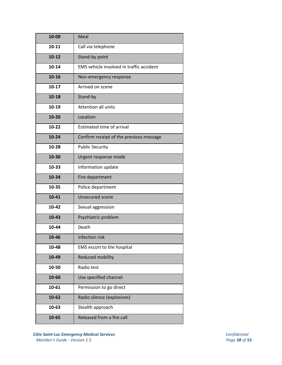| 10-09     | Meal                                     |  |  |  |
|-----------|------------------------------------------|--|--|--|
| $10 - 11$ | Call via telephone                       |  |  |  |
| $10-12$   | Stand-by point                           |  |  |  |
| 10-14     | EMS vehicle involved in traffic accident |  |  |  |
| $10 - 16$ | Non-emergency response                   |  |  |  |
| $10-17$   | Arrived on scene                         |  |  |  |
| $10-18$   | Stand-by                                 |  |  |  |
| $10 - 19$ | Attention all units                      |  |  |  |
| $10 - 20$ | Location                                 |  |  |  |
| $10-22$   | <b>Estimated time of arrival</b>         |  |  |  |
| $10 - 24$ | Confirm receipt of the previous message  |  |  |  |
| $10-28$   | <b>Public Security</b>                   |  |  |  |
| 10-30     | Urgent response mode                     |  |  |  |
| 10-33     | Information update                       |  |  |  |
| 10-34     | Fire department                          |  |  |  |
| 10-35     | Police department                        |  |  |  |
| $10 - 41$ | <b>Unsecured scene</b>                   |  |  |  |
| 10-42     | Sexual aggression                        |  |  |  |
| $10 - 43$ | Psychiatric problem                      |  |  |  |
| 10-44     | Death                                    |  |  |  |
| 10-46     | Infection risk                           |  |  |  |
| 10-48     | EMS escort to the hospital               |  |  |  |
| 10-49     | Reduced mobility                         |  |  |  |
| 10-50     | Radio test                               |  |  |  |
| 10-60     | Use specified channel                    |  |  |  |
| 10-61     | Permission to go direct                  |  |  |  |
| $10 - 62$ | Radio silence (explosives)               |  |  |  |
| 10-63     | Stealth approach                         |  |  |  |
| 10-65     | Released from a fire call                |  |  |  |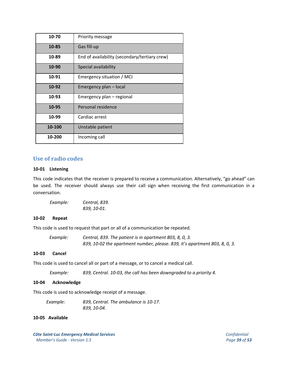| 10-70  | Priority message                              |
|--------|-----------------------------------------------|
| 10-85  | Gas fill-up                                   |
| 10-89  | End of availability (secondary/tertiary crew) |
| 10-90  | Special availability                          |
| 10-91  | Emergency situation / MCI                     |
| 10-92  | Emergency plan - local                        |
| 10-93  | Emergency plan - regional                     |
| 10-95  | Personal residence                            |
| 10-99  | Cardiac arrest                                |
| 10-100 | Unstable patient                              |
| 10-200 | Incoming call                                 |

#### **Use of radio codes**

#### **10-01 Listening**

This code indicates that the receiver is prepared to receive a communication. Alternatively, "go ahead" can be used. The receiver should always use their call sign when receiving the first communication in a conversation.

*Example: Central, 839. 839, 10-01.*

#### **10-02 Repeat**

This code is used to request that part or all of a communication be repeated.

| Example: | Central, 839. The patient is in apartment 803, 8, 0, 3.                    |  |  |  |
|----------|----------------------------------------------------------------------------|--|--|--|
|          | 839, 10-02 the apartment number, please. 839, it's apartment 803, 8, 0, 3. |  |  |  |

#### **10-03 Cancel**

This code is used to cancel all or part of a message, or to cancel a medical call.

*Example: 839, Central. 10-03, the call has been downgraded to a priority 4.*

#### **10-04 Acknowledge**

This code is used to acknowledge receipt of a message.

| Example: | 839, Central. The ambulance is 10-17. |
|----------|---------------------------------------|
|          | 839, 10-04.                           |

#### **10-05 Available**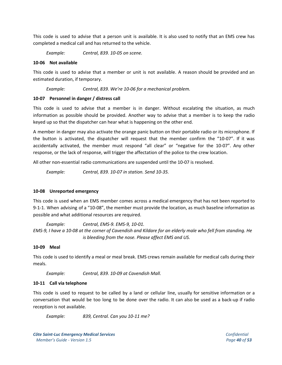This code is used to advise that a person unit is available. It is also used to notify that an EMS crew has completed a medical call and has returned to the vehicle.

*Example: Central, 839. 10-05 on scene.*

#### **10-06 Not available**

This code is used to advise that a member or unit is not available. A reason should be provided and an estimated duration, if temporary.

*Example: Central, 839. We're 10-06 for a mechanical problem.*

#### **10-07 Personnel in danger / distress call**

This code is used to advise that a member is in danger. Without escalating the situation, as much information as possible should be provided. Another way to advise that a member is to keep the radio keyed up so that the dispatcher can hear what is happening on the other end.

A member in danger may also activate the orange panic button on their portable radio or its microphone. If the button is activated, the dispatcher will request that the member confirm the "10-07". If it was accidentally activated, the member must respond "all clear" or "negative for the 10-07". Any other response, or the lack of response, will trigger the affectation of the police to the crew location.

All other non-essential radio communications are suspended until the 10-07 is resolved.

*Example: Central, 839. 10-07 in station. Send 10-35.*

#### **10-08 Unreported emergency**

This code is used when an EMS member comes across a medical emergency that has not been reported to 9-1-1. When advising of a "10-08", the member must provide the location, as much baseline information as possible and what additional resources are required.

*Example: Central, EMS-9. EMS-9, 10-01.* EMS-9, I have a 10-08 at the corner of Cavendish and Kildare for an elderly male who fell from standing. He *is bleeding from the nose. Please affect EMS and US.*

#### **10-09 Meal**

This code is used to identify a meal or meal break. EMS crews remain available for medical calls during their meals.

*Example: Central, 839. 10-09 at Cavendish Mall.*

#### **10-11 Call via telephone**

This code is used to request to be called by a land or cellular line, usually for sensitive information or a conversation that would be too long to be done over the radio. It can also be used as a back-up if radio reception is not available.

*Example: 839, Central. Can you 10-11 me?*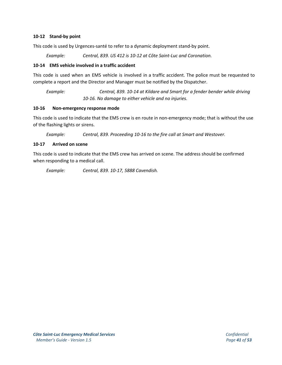#### **10-12 Stand-by point**

This code is used by Urgences-santé to refer to a dynamic deployment stand-by point.

*Example: Central, 839. US 412 is 10-12 at Côte Saint-Luc and Coronation.*

#### **10-14 EMS vehicle involved in a traffic accident**

This code is used when an EMS vehicle is involved in a traffic accident. The police must be requested to complete a report and the Director and Manager must be notified by the Dispatcher.

*Example: Central, 839. 10-14 at Kildare and Smart for a fender bender while driving 10-16. No damage to either vehicle and no injuries.*

#### **10-16 Non-emergency response mode**

This code is used to indicate that the EMS crew is en route in non-emergency mode; that is without the use of the flashing lights or sirens.

*Example: Central, 839. Proceeding 10-16 to the fire call at Smart and Westover.*

#### **10-17 Arrived on scene**

This code is used to indicate that the EMS crew has arrived on scene. The address should be confirmed when responding to a medical call.

*Example: Central, 839. 10-17, 5888 Cavendish.*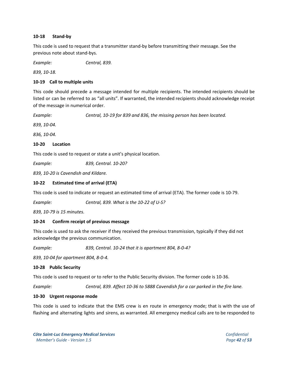#### **10-18 Stand-by**

This code is used to request that a transmitter stand-by before transmitting their message. See the previous note about stand-bys.

*Example: Central, 839.*

*839, 10-18.*

#### **10-19 Call to multiple units**

This code should precede a message intended for multiple recipients. The intended recipients should be listed or can be referred to as "all units". If warranted, the intended recipients should acknowledge receipt of the message in numerical order.

*Example: Central, 10-19 for 839 and 836, the missing person has been located.*

*839, 10-04.*

*836, 10-04.*

#### **10-20 Location**

This code is used to request or state a unit's physical location.

*Example: 839, Central. 10-20?*

*839, 10-20 is Cavendish and Kildare.*

#### **10-22 Estimated time of arrival (ETA)**

This code is used to indicate or request an estimated time of arrival (ETA). The former code is 10-79.

*Example: Central, 839. What is the 10-22 of U-S?*

*839, 10-79 is 15 minutes.*

#### **10-24 Confirm receipt of previous message**

This code is used to ask the receiver if they received the previous transmission, typically if they did not acknowledge the previous communication.

*Example: 839, Central. 10-24 that it is apartment 804, 8-0-4?*

*839, 10-04 for apartment 804, 8-0-4.*

#### **10-28 Public Security**

This code is used to request or to refer to the Public Security division. The former code is 10-36.

*Example: Central, 839. Affect 10-36 to 5888 Cavendish for a car parked in the fire lane.*

#### **10-30 Urgent response mode**

This code is used to indicate that the EMS crew is en route in emergency mode; that is with the use of flashing and alternating lights and sirens, as warranted. All emergency medical calls are to be responded to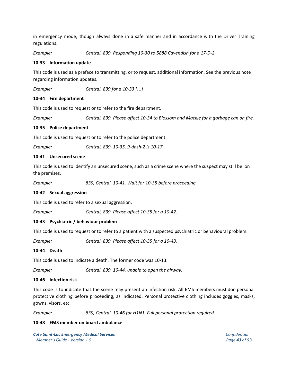in emergency mode, though always done in a safe manner and in accordance with the Driver Training regulations.

*Example: Central, 839. Responding 10-30 to 5888 Cavendish for a 17-D-2.*

#### **10-33 Information update**

This code is used as a preface to transmitting, or to request, additional information. See the previous note regarding information updates.

*Example: Central, 839 for a 10-33 [*…*]*

#### **10-34 Fire department**

This code is used to request or to refer to the fire department.

*Example: Central, 839. Please affect 10-34 to Blossom and Mackle for a garbage can on fire.*

#### **10-35 Police department**

This code is used to request or to refer to the police department.

*Example: Central, 839. 10-35, 9-dash-2 is 10-17.*

#### **10-41 Unsecured scene**

This code is used to identify an unsecured scene, such as a crime scene where the suspect may still be on the premises.

*Example: 839, Central. 10-41. Wait for 10-35 before proceeding.*

#### **10-42 Sexual aggression**

This code is used to refer to a sexual aggression.

*Example: Central, 839. Please affect 10-35 for a 10-42.*

#### **10-43 Psychiatric / behaviour problem**

This code is used to request or to refer to a patient with a suspected psychiatric or behavioural problem.

*Example: Central, 839. Please affect 10-35 for a 10-43.*

#### **10-44 Death**

This code is used to indicate a death. The former code was 10-13.

*Example: Central, 839. 10-44, unable to open the airway.*

#### **10-46 Infection risk**

This code is to indicate that the scene may present an infection risk. All EMS members must don personal protective clothing before proceeding, as indicated. Personal protective clothing includes goggles, masks, gowns, visors, etc.

*Example: 839, Central. 10-46 for H1N1. Full personal protection required.*

#### **10-48 EMS member on board ambulance**

*Côte Saint-Luc Emergency Medical Services Confidential Member's Guide - Version 1.5 Page 43 of 53*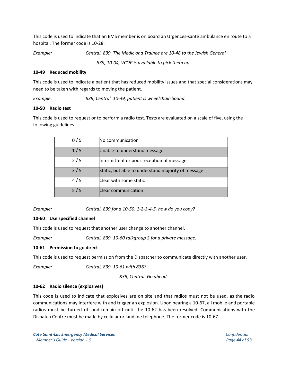This code is used to indicate that an EMS member is on board an Urgences-santé ambulance en route to a hospital. The former code is 10-28.

*Example: Central, 839. The Medic and Trainee are 10-48 to the Jewish General.*

*839, 10-04, VCOP is available to pick them up.*

#### **10-49 Reduced mobility**

This code is used to indicate a patient that has reduced mobility issues and that special considerations may need to be taken with regards to moving the patient.

*Example: 839, Central. 10-49, patient is wheelchair-bound.*

#### **10-50 Radio test**

This code is used to request or to perform a radio test. Tests are evaluated on a scale of five, using the following guidelines:

| 0/5 | No communication                                   |
|-----|----------------------------------------------------|
| 1/5 | Unable to understand message                       |
| 2/5 | Intermittent or poor reception of message          |
| 3/5 | Static, but able to understand majority of message |
| 4/5 | Clear with some static                             |
| 5/5 | <b>Clear communication</b>                         |

*Example: Central, 839 for a 10-50. 1-2-3-4-5, how do you copy?*

#### **10-60 Use specified channel**

This code is used to request that another user change to another channel.

*Example: Central, 839. 10-60 talkgroup 2 for a private message.*

#### **10-61 Permission to go direct**

This code is used to request permission from the Dispatcher to communicate directly with another user.

*Example: Central, 839. 10-61 with 836?*

*839, Central. Go ahead.*

#### **10-62 Radio silence (explosives)**

This code is used to indicate that explosives are on site and that radios must not be used, as the radio communications may interfere with and trigger an explosion. Upon hearing a 10-67, all mobile and portable radios must be turned off and remain off until the 10-62 has been resolved. Communications with the Dispatch Centre must be made by cellular or landline telephone. The former code is 10-67.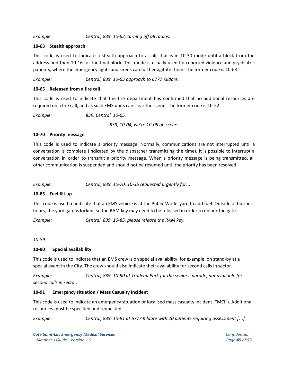#### *Example: Central, 839. 10-62, turning off all radios.*

#### **10-63 Stealth approach**

This code is used to indicate a stealth approach to a call, that is in 10-30 mode until a block from the address and then 10-16 for the final block. This mode is usually used for reported violence and psychiatric patients, where the emergency lights and sirens can further agitate them. The former code is 10-68.

*Example: Central, 839. 10-63 approach to 6777 Kildare.*

#### **10-65 Released from a fire call**

This code is used to indicate that the fire department has confirmed that no additional resources are required on a fire call, and as such EMS units can clear the scene. The former code is 10-22.

*Example: 839, Central. 10-65.*

*839, 10-04, we're 10-05 on scene.*

#### **10-70 Priority message**

This code is used to indicate a priority message. Normally, communications are not interrupted until a conversation is complete (indicated by the dispatcher transmitting the time). It is possible to interrupt a conversation in order to transmit a priority message. When a priority message is being transmitted, all other communication is suspended and should not be resumed until the priority has been resolved.

*Example: Central, 839. 10-70. 10-35 requested urgently for*…

#### **10-85 Fuel fill-up**

This code is used to indicate that an EMS vehicle is at the Public Works yard to add fuel. Outside of business hours, the yard gate is locked, so the RAM key may need to be released in order to unlock the gate.

*Example: Central, 839. 10-85, please release the RAM key.*

#### *10-89*

#### **10-90 Special availability**

This code is used to indicate that an EMS crew is on special availability, for example, on stand-by at a special event in the City. The crew should also indicate their availability for second calls in sector.

*Example: Central, 839. 10-90 at Trudeau Park for the seniors' parade, not available for second calls in sector.*

#### **10-91 Emergency situation / Mass Casualty Incident**

This code is used to indicate an emergency situation or localised mass casualty incident ("MCI"). Additional resources must be specified and requested.

*Example: Central, 839. 10-91 at 6777 Kildare with 20 patients requiring assessment [*…*]*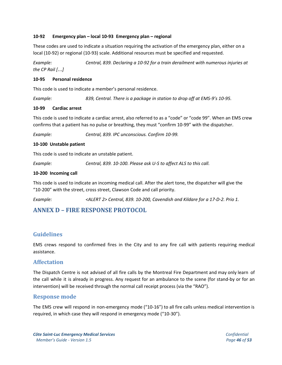#### **10-92 Emergency plan – local 10-93 Emergency plan – regional**

These codes are used to indicate a situation requiring the activation of the emergency plan, either on a local (10-92) or regional (10-93) scale. Additional resources must be specified and requested.

*Example: Central, 839. Declaring a 10-92 for a train derailment with numerous injuries at the CP Rail [*…*]*

#### **10-95 Personal residence**

This code is used to indicate a member's personal residence.

*Example: 839, Central. There is a package in station to drop off at EMS-9's 10-95.*

#### **10-99 Cardiac arrest**

This code is used to indicate a cardiac arrest, also referred to as a "code" or "code 99". When an EMS crew confirms that a patient has no pulse or breathing, they must "confirm 10-99" with the dispatcher.

*Example: Central, 839. IPC unconscious. Confirm 10-99.*

#### **10-100 Unstable patient**

This code is used to indicate an unstable patient.

*Example: Central, 839. 10-100. Please ask U-S to affect ALS to this call.*

#### **10-200 Incoming call**

This code is used to indicate an incoming medical call. After the alert tone, the dispatcher will give the "10-200" with the street, cross street, Clawson Code and call priority.

*Example: <ALERT 2> Central, 839. 10-200, Cavendish and Kildare for a 17-D-2. Prio 1.*

## <span id="page-45-0"></span>**ANNEX D – FIRE RESPONSE PROTOCOL**

#### **Guidelines**

EMS crews respond to confirmed fires in the City and to any fire call with patients requiring medical assistance.

#### **Affectation**

The Dispatch Centre is not advised of all fire calls by the Montreal Fire Department and may only learn of the call while it is already in progress. Any request for an ambulance to the scene (for stand-by or for an intervention) will be received through the normal call receipt process (via the "RAO").

#### **Response mode**

The EMS crew will respond in non-emergency mode ("10-16") to all fire calls unless medical intervention is required, in which case they will respond in emergency mode ("10-30").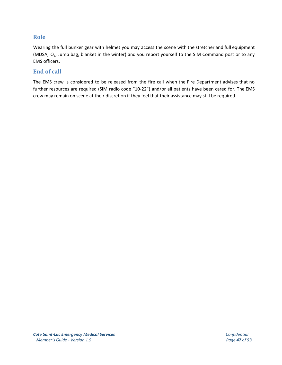## **Role**

Wearing the full bunker gear with helmet you may access the scene with the stretcher and full equipment (MDSA,  $O_2$ , Jump bag, blanket in the winter) and you report yourself to the SIM Command post or to any EMS officers.

## **End of call**

The EMS crew is considered to be released from the fire call when the Fire Department advises that no further resources are required (SIM radio code "10-22") and/or all patients have been cared for. The EMS crew may remain on scene at their discretion if they feel that their assistance may still be required.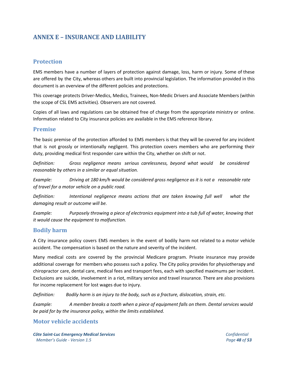## <span id="page-47-0"></span>**ANNEX E – INSURANCE AND LIABILITY**

## **Protection**

EMS members have a number of layers of protection against damage, loss, harm or injury. Some of these are offered by the City, whereas others are built into provincial legislation. The information provided in this document is an overview of the different policies and protections.

This coverage protects Driver-Medics, Medics, Trainees, Non-Medic Drivers and Associate Members (within the scope of CSL EMS activities). Observers are not covered.

Copies of all laws and regulations can be obtained free of charge from the appropriate ministry or online. Information related to City insurance policies are available in the EMS reference library.

#### **Premise**

The basic premise of the protection afforded to EMS members is that they will be covered for any incident that is not grossly or intentionally negligent. This protection covers members who are performing their duty, providing medical first responder care within the City, whether on shift or not.

*Definition: Gross negligence means serious carelessness, beyond what would be considered reasonable by others in a similar or equal situation.*

*Example: Driving at 180 km/h would be considered gross negligence as it is not a reasonable rate of travel for a motor vehicle on a public road.*

*Definition: Intentional negligence means actions that are taken knowing full well what the damaging result or outcome will be.*

*Example: Purposely throwing a piece of electronics equipment into a tub full of water, knowing that it would cause the equipment to malfunction.*

## **Bodily harm**

A City insurance policy covers EMS members in the event of bodily harm not related to a motor vehicle accident. The compensation is based on the nature and severity of the incident.

Many medical costs are covered by the provincial Medicare program. Private insurance may provide additional coverage for members who possess such a policy. The City policy provides for physiotherapy and chiropractor care, dental care, medical fees and transport fees, each with specified maximums per incident. Exclusions are suicide, involvement in a riot, military service and travel insurance. There are also provisions for income replacement for lost wages due to injury.

*Definition: Bodily harm is an injury to the body, such as a fracture, dislocation, strain, etc.*

*Example: A member breaks a tooth when a piece of equipment falls on them. Dental services would be paid for by the insurance policy, within the limits established.*

## **Motor vehicle accidents**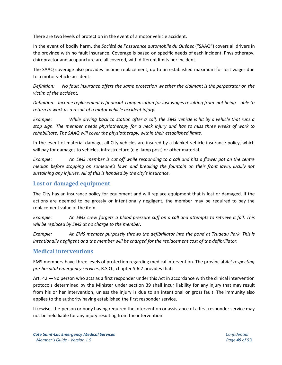There are two levels of protection in the event of a motor vehicle accident.

In the event of bodily harm, the *Société de l'assurance automobile du Québec* ("SAAQ") covers all drivers in the province with no fault insurance. Coverage is based on specific needs of each incident. Physiotherapy, chiropractor and acupuncture are all covered, with different limits per incident.

The SAAQ coverage also provides income replacement, up to an established maximum for lost wages due to a motor vehicle accident.

*Definition: No fault insurance offers the same protection whether the claimant is the perpetrator or the victim of the accident.*

*Definition: Income replacement is financial compensation for lost wages resulting from not being able to return to work as a result of a motor vehicle accident injury.*

Example: While driving back to station after a call, the EMS vehicle is hit by a vehicle that runs a stop sign. The member needs physiotherapy for a neck injury and has to miss three weeks of work to *rehabilitate. The SAAQ will cover the physiotherapy, within their established limits.*

In the event of material damage, all City vehicles are insured by a blanket vehicle insurance policy, which will pay for damages to vehicles, infrastructure (e.g. lamp post) or other material.

Example: An EMS member is cut off while responding to a call and hits a flower pot on the centre *median before stopping on someone's lawn and breaking the fountain on their front lawn, luckily not sustaining any injuries. All of this is handled by the city's insurance.*

## **Lost or damaged equipment**

The City has an insurance policy for equipment and will replace equipment that is lost or damaged. If the actions are deemed to be grossly or intentionally negligent, the member may be required to pay the replacement value of the item.

Example: An EMS crew forgets a blood pressure cuff on a call and attempts to retrieve it fail. This *will be replaced by EMS at no charge to the member.*

*Example: An EMS member purposely throws the defibrillator into the pond at Trudeau Park. This is intentionally negligent and the member will be charged for the replacement cost of the defibrillator.*

#### **Medical interventions**

EMS members have three levels of protection regarding medical intervention. The provincial *Act respecting pre-hospital emergency services*, R.S.Q., chapter S-6.2 provides that:

Art. 42 —No person who acts as a first responder under this Act in accordance with the clinical intervention protocols determined by the Minister under section 39 shall incur liability for any injury that may result from his or her intervention, unless the injury is due to an intentional or gross fault. The immunity also applies to the authority having established the first responder service.

Likewise, the person or body having required the intervention or assistance of a first responder service may not be held liable for any injury resulting from the intervention.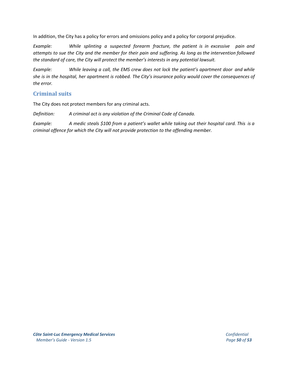In addition, the City has a policy for errors and omissions policy and a policy for corporal prejudice.

*Example: While splinting a suspected forearm fracture, the patient is in excessive pain and* attempts to sue the City and the member for their pain and suffering. As long as the intervention followed *the standard of care, the City will protect the member's interests in any potential lawsuit.*

*Example: While leaving a call, the EMS crew does not lock the patient's apartment door and while* she is in the hospital, her apartment is robbed. The City's insurance policy would cover the consequences of *the error.*

## **Criminal suits**

The City does not protect members for any criminal acts.

*Definition: A criminal act is any violation of the Criminal Code of Canada.*

Example: A medic steals \$100 from a patient's wallet while taking out their hospital card. This is a *criminal offence for which the City will not provide protection to the offending member.*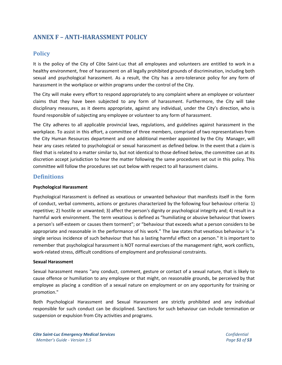## <span id="page-50-0"></span>**ANNEX F – ANTI**-**HARASSMENT POLICY**

#### **Policy**

It is the policy of the City of Côte Saint-Luc that all employees and volunteers are entitled to work in a healthy environment, free of harassment on all legally prohibited grounds of discrimination, including both sexual and psychological harassment. As a result, the City has a zero-tolerance policy for any form of harassment in the workplace or within programs under the control of the City.

The City will make every effort to respond appropriately to any complaint where an employee or volunteer claims that they have been subjected to any form of harassment. Furthermore, the City will take disciplinary measures, as it deems appropriate, against any individual, under the City's direction, who is found responsible of subjecting any employee or volunteer to any form of harassment.

The City adheres to all applicable provincial laws, regulations, and guidelines against harassment in the workplace. To assist in this effort, a committee of three members, comprised of two representatives from the City Human Resources department and one additional member appointed by the City Manager, will hear any cases related to psychological or sexual harassment as defined below. In the event that a claim is filed that is related to a matter similar to, but not identical to those defined below, the committee can at its discretion accept jurisdiction to hear the matter following the same procedures set out in this policy. This committee will follow the procedures set out below with respect to all harassment claims.

#### **Definitions**

#### **Psychological Harassment**

Psychological Harassment is defined as vexatious or unwanted behaviour that manifests itself in the form of conduct, verbal comments, actions or gestures characterized by the following four behaviour criteria: 1) repetitive; 2) hostile or unwanted; 3) affect the person's dignity or psychological integrity and; 4) result in a harmful work environment. The term vexatious is defined as "humiliating or abusive behaviour that lowers a person's self-esteem or causes them torment"; or "behaviour that exceeds what a person considers to be appropriate and reasonable in the performance of his work." The law states that vexatious behaviour is "a single serious incidence of such behaviour that has a lasting harmful effect on a person." It is important to remember that psychological harassment is NOT normal exercises of the management right, work conflicts, work-related stress, difficult conditions of employment and professional constraints.

#### **Sexual Harassment**

Sexual harassment means "any conduct, comment, gesture or contact of a sexual nature, that is likely to cause offence or humiliation to any employee or that might, on reasonable grounds, be perceived by that employee as placing a condition of a sexual nature on employment or on any opportunity for training or promotion."

Both Psychological Harassment and Sexual Harassment are strictly prohibited and any individual responsible for such conduct can be disciplined. Sanctions for such behaviour can include termination or suspension or expulsion from City activities and programs.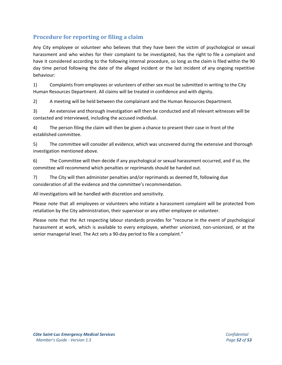## **Procedure for reporting or filing a claim**

Any City employee or volunteer who believes that they have been the victim of psychological or sexual harassment and who wishes for their complaint to be investigated, has the right to file a complaint and have it considered according to the following internal procedure, so long as the claim is filed within the 90 day time period following the date of the alleged incident or the last incident of any ongoing repetitive behaviour:

1) Complaints from employees or volunteers of either sex must be submitted in writing to the City Human Resources Department. All claims will be treated in confidence and with dignity.

2) A meeting will be held between the complainant and the Human Resources Department.

3) An extensive and thorough investigation will then be conducted and all relevant witnesses will be contacted and interviewed, including the accused individual.

4) The person filing the claim will then be given a chance to present their case in front of the established committee.

5) The committee will consider all evidence, which was uncovered during the extensive and thorough investigation mentioned above.

6) The Committee will then decide if any psychological or sexual harassment occurred, and if so, the committee will recommend which penalties or reprimands should be handed out.

7) The City will then administer penalties and/or reprimands as deemed fit, following due consideration of all the evidence and the committee's recommendation.

All investigations will be handled with discretion and sensitivity.

Please note that all employees or volunteers who initiate a harassment complaint will be protected from retaliation by the City administration, their supervisor or any other employee or volunteer.

Please note that the Act respecting labour standards provides for "recourse in the event of psychological harassment at work, which is available to every employee, whether unionized, non-unionized, or at the senior managerial level. The Act sets a 90-day period to file a complaint."